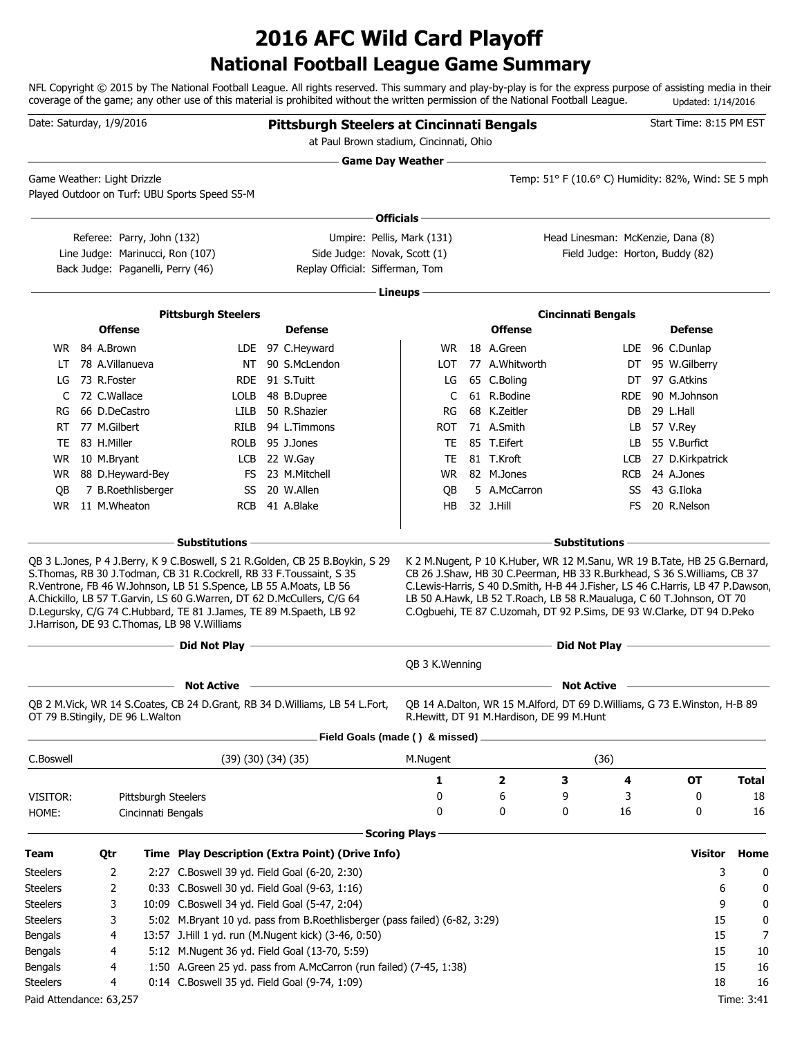## **National Football League Game Summary 2016 AFC Wild Card Playoff**

NFL Copyright © 2015 by The National Football League. All rights reserved. This summary and play-by-play is for the express purpose of assisting media in their coverage of the game; any other use of this material is prohibited without the written permission of the National Football League. Updated: 1/14/2016

| Game Day Weather ——<br>Temp: 51° F (10.6° C) Humidity: 82%, Wind: SE 5 mph<br>Game Weather: Light Drizzle<br>Played Outdoor on Turf: UBU Sports Speed S5-M<br>Officials -<br>Head Linesman: McKenzie, Dana (8)<br>Referee: Parry, John (132)<br>Umpire: Pellis, Mark (131)<br>Line Judge: Marinucci, Ron (107)<br>Side Judge: Novak, Scott (1)<br>Field Judge: Horton, Buddy (82)<br>Replay Official: Sifferman, Tom<br>Back Judge: Paganelli, Perry (46)<br>Lineups -<br><b>Pittsburgh Steelers</b><br><b>Cincinnati Bengals</b><br><b>Offense</b><br><b>Defense</b><br><b>Offense</b><br><b>Defense</b><br>18 A.Green<br>WR 84 A.Brown<br>LDE 97 C.Heyward<br>LDE 96 C.Dunlap<br>WR.<br>78 A.Villanueva<br>NT 90 S.McLendon<br>77 A.Whitworth<br>95 W.Gilberry<br><b>LOT</b><br>DT<br>LT.<br>97 G.Atkins<br>73 R.Foster<br>RDE 91 S.Tuitt<br>65 C.Boling<br>LG<br>DT<br>LG<br>61 R.Bodine<br>72 C.Wallace<br>48 B.Dupree<br>90 M.Johnson<br>LOLB<br>C<br>RDE.<br>C<br>68 K.Zeitler<br>66 D.DeCastro<br>LILB 50 R.Shazier<br>29 L.Hall<br>RG<br>DB<br>RG<br>77 M.Gilbert<br>RILB 94 L. Timmons<br>71 A.Smith<br>57 V.Rey<br>RT<br><b>ROT</b><br>LB<br>83 H.Miller<br>ROLB 95 J.Jones<br>85 T.Eifert<br>55 V.Burfict<br>TE<br>LB<br>TE<br>LCB 22 W.Gay<br>81 T.Kroft<br>27 D.Kirkpatrick<br>WR<br>10 M.Bryant<br>TE<br><b>LCB</b><br>88 D.Heyward-Bey<br>FS 23 M.Mitchell<br><b>WR</b><br>82 M.Jones<br>24 A.Jones<br>WR.<br><b>RCB</b><br>7 B.Roethlisberger<br>SS 20 W.Allen<br>5 A.McCarron<br>43 G.Iloka<br>QB<br>QB<br>SS<br><b>WR</b><br>11 M.Wheaton<br>RCB 41 A.Blake<br>HB<br>32 J.Hill<br>20 R.Nelson<br>FS.<br><b>Substitutions</b><br><b>Substitutions</b><br>QB 3 L.Jones, P 4 J.Berry, K 9 C.Boswell, S 21 R.Golden, CB 25 B.Boykin, S 29<br>K 2 M.Nugent, P 10 K.Huber, WR 12 M.Sanu, WR 19 B.Tate, HB 25 G.Bernard,<br>S. Thomas, RB 30 J. Todman, CB 31 R. Cockrell, RB 33 F. Toussaint, S 35<br>CB 26 J.Shaw, HB 30 C.Peerman, HB 33 R.Burkhead, S 36 S.Williams, CB 37<br>R.Ventrone, FB 46 W.Johnson, LB 51 S.Spence, LB 55 A.Moats, LB 56<br>C.Lewis-Harris, S 40 D.Smith, H-B 44 J.Fisher, LS 46 C.Harris, LB 47 P.Dawson,<br>A.Chickillo, LB 57 T.Garvin, LS 60 G.Warren, DT 62 D.McCullers, C/G 64<br>LB 50 A.Hawk, LB 52 T.Roach, LB 58 R.Maualuga, C 60 T.Johnson, OT 70<br>D.Legursky, C/G 74 C.Hubbard, TE 81 J.James, TE 89 M.Spaeth, LB 92<br>C.Ogbuehi, TE 87 C.Uzomah, DT 92 P.Sims, DE 93 W.Clarke, DT 94 D.Peko<br>J.Harrison, DE 93 C.Thomas, LB 98 V.Williams<br>Did Not Play <u>- and the contract of the contract of the contract of the contract of the contract of the contract of</u><br>Did Not Play <u>_________________________</u><br>QB 3 K. Wenning<br><b>Not Active</b><br><b>Not Active</b><br>QB 2 M.Vick, WR 14 S.Coates, CB 24 D.Grant, RB 34 D.Williams, LB 54 L.Fort,<br>QB 14 A.Dalton, WR 15 M.Alford, DT 69 D.Williams, G 73 E.Winston, H-B 89<br>OT 79 B.Stingily, DE 96 L.Walton<br>R.Hewitt, DT 91 M.Hardison, DE 99 M.Hunt<br>Field Goals (made () & missed) _<br>(36)<br>C.Boswell<br>(39)(30)(34)(35)<br>M.Nugent<br>1<br>2<br>3<br>4<br>ΟT<br>0<br>6<br>9<br>3<br>0<br>VISITOR:<br>Pittsburgh Steelers<br>0<br>0<br>0<br>16<br>0<br>HOME:<br>Cincinnati Bengals<br><b>Scoring Plays</b><br>Visitor<br>Time Play Description (Extra Point) (Drive Info)<br>Home<br>Team<br>Qtr<br>3<br>2:27 C.Boswell 39 yd. Field Goal (6-20, 2:30)<br>2<br>2<br>0:33 C.Boswell 30 yd. Field Goal (9-63, 1:16)<br>6<br>3<br>10:09 C.Boswell 34 yd. Field Goal (5-47, 2:04)<br>9<br>3<br>5:02 M.Bryant 10 yd. pass from B.Roethlisberger (pass failed) (6-82, 3:29)<br>15<br>13:57 J.Hill 1 yd. run (M.Nugent kick) (3-46, 0:50)<br>15<br>Bengals<br>4<br>5:12 M.Nugent 36 yd. Field Goal (13-70, 5:59)<br>15<br>Bengals<br>4<br>1:50 A.Green 25 yd. pass from A.McCarron (run failed) (7-45, 1:38)<br>15<br>Bengals<br>4<br>0:14 C.Boswell 35 yd. Field Goal (9-74, 1:09)<br>18<br>4 | Date: Saturday, 1/9/2016 |  |  | <b>Pittsburgh Steelers at Cincinnati Bengals</b><br>at Paul Brown stadium, Cincinnati, Ohio |  |  |  | Start Time: 8:15 PM EST |              |
|--------------------------------------------------------------------------------------------------------------------------------------------------------------------------------------------------------------------------------------------------------------------------------------------------------------------------------------------------------------------------------------------------------------------------------------------------------------------------------------------------------------------------------------------------------------------------------------------------------------------------------------------------------------------------------------------------------------------------------------------------------------------------------------------------------------------------------------------------------------------------------------------------------------------------------------------------------------------------------------------------------------------------------------------------------------------------------------------------------------------------------------------------------------------------------------------------------------------------------------------------------------------------------------------------------------------------------------------------------------------------------------------------------------------------------------------------------------------------------------------------------------------------------------------------------------------------------------------------------------------------------------------------------------------------------------------------------------------------------------------------------------------------------------------------------------------------------------------------------------------------------------------------------------------------------------------------------------------------------------------------------------------------------------------------------------------------------------------------------------------------------------------------------------------------------------------------------------------------------------------------------------------------------------------------------------------------------------------------------------------------------------------------------------------------------------------------------------------------------------------------------------------------------------------------------------------------------------------------------------------------------------------------------------------------------------------------------------------------------------------------------------------------------------------------------------------------------------------------------------------------------------------------------------------------------------------------------------------------------------------------------------------------------------------------------------------------------------------------------------------------------------------------------------------------------------------------------------------------------------------------------------------------------------------------------------------------------------------------------------------------------------------------------------------------------------------------------------------------------------------------------------------------------------------------------------------------------------------------------------------------------------------------------------------------------------------------------------------------------------------------------------------------------------------------------------------------------------------------------------------------------------------------------------------------------------|--------------------------|--|--|---------------------------------------------------------------------------------------------|--|--|--|-------------------------|--------------|
|                                                                                                                                                                                                                                                                                                                                                                                                                                                                                                                                                                                                                                                                                                                                                                                                                                                                                                                                                                                                                                                                                                                                                                                                                                                                                                                                                                                                                                                                                                                                                                                                                                                                                                                                                                                                                                                                                                                                                                                                                                                                                                                                                                                                                                                                                                                                                                                                                                                                                                                                                                                                                                                                                                                                                                                                                                                                                                                                                                                                                                                                                                                                                                                                                                                                                                                                                                                                                                                                                                                                                                                                                                                                                                                                                                                                                                                                                                                                      |                          |  |  |                                                                                             |  |  |  |                         |              |
|                                                                                                                                                                                                                                                                                                                                                                                                                                                                                                                                                                                                                                                                                                                                                                                                                                                                                                                                                                                                                                                                                                                                                                                                                                                                                                                                                                                                                                                                                                                                                                                                                                                                                                                                                                                                                                                                                                                                                                                                                                                                                                                                                                                                                                                                                                                                                                                                                                                                                                                                                                                                                                                                                                                                                                                                                                                                                                                                                                                                                                                                                                                                                                                                                                                                                                                                                                                                                                                                                                                                                                                                                                                                                                                                                                                                                                                                                                                                      |                          |  |  |                                                                                             |  |  |  |                         |              |
|                                                                                                                                                                                                                                                                                                                                                                                                                                                                                                                                                                                                                                                                                                                                                                                                                                                                                                                                                                                                                                                                                                                                                                                                                                                                                                                                                                                                                                                                                                                                                                                                                                                                                                                                                                                                                                                                                                                                                                                                                                                                                                                                                                                                                                                                                                                                                                                                                                                                                                                                                                                                                                                                                                                                                                                                                                                                                                                                                                                                                                                                                                                                                                                                                                                                                                                                                                                                                                                                                                                                                                                                                                                                                                                                                                                                                                                                                                                                      |                          |  |  |                                                                                             |  |  |  |                         |              |
|                                                                                                                                                                                                                                                                                                                                                                                                                                                                                                                                                                                                                                                                                                                                                                                                                                                                                                                                                                                                                                                                                                                                                                                                                                                                                                                                                                                                                                                                                                                                                                                                                                                                                                                                                                                                                                                                                                                                                                                                                                                                                                                                                                                                                                                                                                                                                                                                                                                                                                                                                                                                                                                                                                                                                                                                                                                                                                                                                                                                                                                                                                                                                                                                                                                                                                                                                                                                                                                                                                                                                                                                                                                                                                                                                                                                                                                                                                                                      |                          |  |  |                                                                                             |  |  |  |                         |              |
|                                                                                                                                                                                                                                                                                                                                                                                                                                                                                                                                                                                                                                                                                                                                                                                                                                                                                                                                                                                                                                                                                                                                                                                                                                                                                                                                                                                                                                                                                                                                                                                                                                                                                                                                                                                                                                                                                                                                                                                                                                                                                                                                                                                                                                                                                                                                                                                                                                                                                                                                                                                                                                                                                                                                                                                                                                                                                                                                                                                                                                                                                                                                                                                                                                                                                                                                                                                                                                                                                                                                                                                                                                                                                                                                                                                                                                                                                                                                      |                          |  |  |                                                                                             |  |  |  |                         |              |
|                                                                                                                                                                                                                                                                                                                                                                                                                                                                                                                                                                                                                                                                                                                                                                                                                                                                                                                                                                                                                                                                                                                                                                                                                                                                                                                                                                                                                                                                                                                                                                                                                                                                                                                                                                                                                                                                                                                                                                                                                                                                                                                                                                                                                                                                                                                                                                                                                                                                                                                                                                                                                                                                                                                                                                                                                                                                                                                                                                                                                                                                                                                                                                                                                                                                                                                                                                                                                                                                                                                                                                                                                                                                                                                                                                                                                                                                                                                                      |                          |  |  |                                                                                             |  |  |  |                         |              |
|                                                                                                                                                                                                                                                                                                                                                                                                                                                                                                                                                                                                                                                                                                                                                                                                                                                                                                                                                                                                                                                                                                                                                                                                                                                                                                                                                                                                                                                                                                                                                                                                                                                                                                                                                                                                                                                                                                                                                                                                                                                                                                                                                                                                                                                                                                                                                                                                                                                                                                                                                                                                                                                                                                                                                                                                                                                                                                                                                                                                                                                                                                                                                                                                                                                                                                                                                                                                                                                                                                                                                                                                                                                                                                                                                                                                                                                                                                                                      |                          |  |  |                                                                                             |  |  |  |                         |              |
| <b>Steelers</b><br><b>Steelers</b><br><b>Steelers</b><br><b>Steelers</b><br><b>Steelers</b>                                                                                                                                                                                                                                                                                                                                                                                                                                                                                                                                                                                                                                                                                                                                                                                                                                                                                                                                                                                                                                                                                                                                                                                                                                                                                                                                                                                                                                                                                                                                                                                                                                                                                                                                                                                                                                                                                                                                                                                                                                                                                                                                                                                                                                                                                                                                                                                                                                                                                                                                                                                                                                                                                                                                                                                                                                                                                                                                                                                                                                                                                                                                                                                                                                                                                                                                                                                                                                                                                                                                                                                                                                                                                                                                                                                                                                          |                          |  |  |                                                                                             |  |  |  |                         |              |
|                                                                                                                                                                                                                                                                                                                                                                                                                                                                                                                                                                                                                                                                                                                                                                                                                                                                                                                                                                                                                                                                                                                                                                                                                                                                                                                                                                                                                                                                                                                                                                                                                                                                                                                                                                                                                                                                                                                                                                                                                                                                                                                                                                                                                                                                                                                                                                                                                                                                                                                                                                                                                                                                                                                                                                                                                                                                                                                                                                                                                                                                                                                                                                                                                                                                                                                                                                                                                                                                                                                                                                                                                                                                                                                                                                                                                                                                                                                                      |                          |  |  |                                                                                             |  |  |  |                         |              |
|                                                                                                                                                                                                                                                                                                                                                                                                                                                                                                                                                                                                                                                                                                                                                                                                                                                                                                                                                                                                                                                                                                                                                                                                                                                                                                                                                                                                                                                                                                                                                                                                                                                                                                                                                                                                                                                                                                                                                                                                                                                                                                                                                                                                                                                                                                                                                                                                                                                                                                                                                                                                                                                                                                                                                                                                                                                                                                                                                                                                                                                                                                                                                                                                                                                                                                                                                                                                                                                                                                                                                                                                                                                                                                                                                                                                                                                                                                                                      |                          |  |  |                                                                                             |  |  |  |                         |              |
|                                                                                                                                                                                                                                                                                                                                                                                                                                                                                                                                                                                                                                                                                                                                                                                                                                                                                                                                                                                                                                                                                                                                                                                                                                                                                                                                                                                                                                                                                                                                                                                                                                                                                                                                                                                                                                                                                                                                                                                                                                                                                                                                                                                                                                                                                                                                                                                                                                                                                                                                                                                                                                                                                                                                                                                                                                                                                                                                                                                                                                                                                                                                                                                                                                                                                                                                                                                                                                                                                                                                                                                                                                                                                                                                                                                                                                                                                                                                      |                          |  |  |                                                                                             |  |  |  |                         |              |
|                                                                                                                                                                                                                                                                                                                                                                                                                                                                                                                                                                                                                                                                                                                                                                                                                                                                                                                                                                                                                                                                                                                                                                                                                                                                                                                                                                                                                                                                                                                                                                                                                                                                                                                                                                                                                                                                                                                                                                                                                                                                                                                                                                                                                                                                                                                                                                                                                                                                                                                                                                                                                                                                                                                                                                                                                                                                                                                                                                                                                                                                                                                                                                                                                                                                                                                                                                                                                                                                                                                                                                                                                                                                                                                                                                                                                                                                                                                                      |                          |  |  |                                                                                             |  |  |  |                         |              |
|                                                                                                                                                                                                                                                                                                                                                                                                                                                                                                                                                                                                                                                                                                                                                                                                                                                                                                                                                                                                                                                                                                                                                                                                                                                                                                                                                                                                                                                                                                                                                                                                                                                                                                                                                                                                                                                                                                                                                                                                                                                                                                                                                                                                                                                                                                                                                                                                                                                                                                                                                                                                                                                                                                                                                                                                                                                                                                                                                                                                                                                                                                                                                                                                                                                                                                                                                                                                                                                                                                                                                                                                                                                                                                                                                                                                                                                                                                                                      |                          |  |  |                                                                                             |  |  |  |                         |              |
|                                                                                                                                                                                                                                                                                                                                                                                                                                                                                                                                                                                                                                                                                                                                                                                                                                                                                                                                                                                                                                                                                                                                                                                                                                                                                                                                                                                                                                                                                                                                                                                                                                                                                                                                                                                                                                                                                                                                                                                                                                                                                                                                                                                                                                                                                                                                                                                                                                                                                                                                                                                                                                                                                                                                                                                                                                                                                                                                                                                                                                                                                                                                                                                                                                                                                                                                                                                                                                                                                                                                                                                                                                                                                                                                                                                                                                                                                                                                      |                          |  |  |                                                                                             |  |  |  |                         |              |
|                                                                                                                                                                                                                                                                                                                                                                                                                                                                                                                                                                                                                                                                                                                                                                                                                                                                                                                                                                                                                                                                                                                                                                                                                                                                                                                                                                                                                                                                                                                                                                                                                                                                                                                                                                                                                                                                                                                                                                                                                                                                                                                                                                                                                                                                                                                                                                                                                                                                                                                                                                                                                                                                                                                                                                                                                                                                                                                                                                                                                                                                                                                                                                                                                                                                                                                                                                                                                                                                                                                                                                                                                                                                                                                                                                                                                                                                                                                                      |                          |  |  |                                                                                             |  |  |  |                         |              |
|                                                                                                                                                                                                                                                                                                                                                                                                                                                                                                                                                                                                                                                                                                                                                                                                                                                                                                                                                                                                                                                                                                                                                                                                                                                                                                                                                                                                                                                                                                                                                                                                                                                                                                                                                                                                                                                                                                                                                                                                                                                                                                                                                                                                                                                                                                                                                                                                                                                                                                                                                                                                                                                                                                                                                                                                                                                                                                                                                                                                                                                                                                                                                                                                                                                                                                                                                                                                                                                                                                                                                                                                                                                                                                                                                                                                                                                                                                                                      |                          |  |  |                                                                                             |  |  |  |                         |              |
|                                                                                                                                                                                                                                                                                                                                                                                                                                                                                                                                                                                                                                                                                                                                                                                                                                                                                                                                                                                                                                                                                                                                                                                                                                                                                                                                                                                                                                                                                                                                                                                                                                                                                                                                                                                                                                                                                                                                                                                                                                                                                                                                                                                                                                                                                                                                                                                                                                                                                                                                                                                                                                                                                                                                                                                                                                                                                                                                                                                                                                                                                                                                                                                                                                                                                                                                                                                                                                                                                                                                                                                                                                                                                                                                                                                                                                                                                                                                      |                          |  |  |                                                                                             |  |  |  |                         |              |
|                                                                                                                                                                                                                                                                                                                                                                                                                                                                                                                                                                                                                                                                                                                                                                                                                                                                                                                                                                                                                                                                                                                                                                                                                                                                                                                                                                                                                                                                                                                                                                                                                                                                                                                                                                                                                                                                                                                                                                                                                                                                                                                                                                                                                                                                                                                                                                                                                                                                                                                                                                                                                                                                                                                                                                                                                                                                                                                                                                                                                                                                                                                                                                                                                                                                                                                                                                                                                                                                                                                                                                                                                                                                                                                                                                                                                                                                                                                                      |                          |  |  |                                                                                             |  |  |  |                         |              |
|                                                                                                                                                                                                                                                                                                                                                                                                                                                                                                                                                                                                                                                                                                                                                                                                                                                                                                                                                                                                                                                                                                                                                                                                                                                                                                                                                                                                                                                                                                                                                                                                                                                                                                                                                                                                                                                                                                                                                                                                                                                                                                                                                                                                                                                                                                                                                                                                                                                                                                                                                                                                                                                                                                                                                                                                                                                                                                                                                                                                                                                                                                                                                                                                                                                                                                                                                                                                                                                                                                                                                                                                                                                                                                                                                                                                                                                                                                                                      |                          |  |  |                                                                                             |  |  |  |                         |              |
|                                                                                                                                                                                                                                                                                                                                                                                                                                                                                                                                                                                                                                                                                                                                                                                                                                                                                                                                                                                                                                                                                                                                                                                                                                                                                                                                                                                                                                                                                                                                                                                                                                                                                                                                                                                                                                                                                                                                                                                                                                                                                                                                                                                                                                                                                                                                                                                                                                                                                                                                                                                                                                                                                                                                                                                                                                                                                                                                                                                                                                                                                                                                                                                                                                                                                                                                                                                                                                                                                                                                                                                                                                                                                                                                                                                                                                                                                                                                      |                          |  |  |                                                                                             |  |  |  |                         |              |
|                                                                                                                                                                                                                                                                                                                                                                                                                                                                                                                                                                                                                                                                                                                                                                                                                                                                                                                                                                                                                                                                                                                                                                                                                                                                                                                                                                                                                                                                                                                                                                                                                                                                                                                                                                                                                                                                                                                                                                                                                                                                                                                                                                                                                                                                                                                                                                                                                                                                                                                                                                                                                                                                                                                                                                                                                                                                                                                                                                                                                                                                                                                                                                                                                                                                                                                                                                                                                                                                                                                                                                                                                                                                                                                                                                                                                                                                                                                                      |                          |  |  |                                                                                             |  |  |  |                         |              |
|                                                                                                                                                                                                                                                                                                                                                                                                                                                                                                                                                                                                                                                                                                                                                                                                                                                                                                                                                                                                                                                                                                                                                                                                                                                                                                                                                                                                                                                                                                                                                                                                                                                                                                                                                                                                                                                                                                                                                                                                                                                                                                                                                                                                                                                                                                                                                                                                                                                                                                                                                                                                                                                                                                                                                                                                                                                                                                                                                                                                                                                                                                                                                                                                                                                                                                                                                                                                                                                                                                                                                                                                                                                                                                                                                                                                                                                                                                                                      |                          |  |  |                                                                                             |  |  |  |                         |              |
|                                                                                                                                                                                                                                                                                                                                                                                                                                                                                                                                                                                                                                                                                                                                                                                                                                                                                                                                                                                                                                                                                                                                                                                                                                                                                                                                                                                                                                                                                                                                                                                                                                                                                                                                                                                                                                                                                                                                                                                                                                                                                                                                                                                                                                                                                                                                                                                                                                                                                                                                                                                                                                                                                                                                                                                                                                                                                                                                                                                                                                                                                                                                                                                                                                                                                                                                                                                                                                                                                                                                                                                                                                                                                                                                                                                                                                                                                                                                      |                          |  |  |                                                                                             |  |  |  |                         |              |
|                                                                                                                                                                                                                                                                                                                                                                                                                                                                                                                                                                                                                                                                                                                                                                                                                                                                                                                                                                                                                                                                                                                                                                                                                                                                                                                                                                                                                                                                                                                                                                                                                                                                                                                                                                                                                                                                                                                                                                                                                                                                                                                                                                                                                                                                                                                                                                                                                                                                                                                                                                                                                                                                                                                                                                                                                                                                                                                                                                                                                                                                                                                                                                                                                                                                                                                                                                                                                                                                                                                                                                                                                                                                                                                                                                                                                                                                                                                                      |                          |  |  |                                                                                             |  |  |  |                         |              |
|                                                                                                                                                                                                                                                                                                                                                                                                                                                                                                                                                                                                                                                                                                                                                                                                                                                                                                                                                                                                                                                                                                                                                                                                                                                                                                                                                                                                                                                                                                                                                                                                                                                                                                                                                                                                                                                                                                                                                                                                                                                                                                                                                                                                                                                                                                                                                                                                                                                                                                                                                                                                                                                                                                                                                                                                                                                                                                                                                                                                                                                                                                                                                                                                                                                                                                                                                                                                                                                                                                                                                                                                                                                                                                                                                                                                                                                                                                                                      |                          |  |  |                                                                                             |  |  |  |                         |              |
|                                                                                                                                                                                                                                                                                                                                                                                                                                                                                                                                                                                                                                                                                                                                                                                                                                                                                                                                                                                                                                                                                                                                                                                                                                                                                                                                                                                                                                                                                                                                                                                                                                                                                                                                                                                                                                                                                                                                                                                                                                                                                                                                                                                                                                                                                                                                                                                                                                                                                                                                                                                                                                                                                                                                                                                                                                                                                                                                                                                                                                                                                                                                                                                                                                                                                                                                                                                                                                                                                                                                                                                                                                                                                                                                                                                                                                                                                                                                      |                          |  |  |                                                                                             |  |  |  |                         | <b>Total</b> |
|                                                                                                                                                                                                                                                                                                                                                                                                                                                                                                                                                                                                                                                                                                                                                                                                                                                                                                                                                                                                                                                                                                                                                                                                                                                                                                                                                                                                                                                                                                                                                                                                                                                                                                                                                                                                                                                                                                                                                                                                                                                                                                                                                                                                                                                                                                                                                                                                                                                                                                                                                                                                                                                                                                                                                                                                                                                                                                                                                                                                                                                                                                                                                                                                                                                                                                                                                                                                                                                                                                                                                                                                                                                                                                                                                                                                                                                                                                                                      |                          |  |  |                                                                                             |  |  |  |                         | 18           |
|                                                                                                                                                                                                                                                                                                                                                                                                                                                                                                                                                                                                                                                                                                                                                                                                                                                                                                                                                                                                                                                                                                                                                                                                                                                                                                                                                                                                                                                                                                                                                                                                                                                                                                                                                                                                                                                                                                                                                                                                                                                                                                                                                                                                                                                                                                                                                                                                                                                                                                                                                                                                                                                                                                                                                                                                                                                                                                                                                                                                                                                                                                                                                                                                                                                                                                                                                                                                                                                                                                                                                                                                                                                                                                                                                                                                                                                                                                                                      |                          |  |  |                                                                                             |  |  |  |                         | 16           |
|                                                                                                                                                                                                                                                                                                                                                                                                                                                                                                                                                                                                                                                                                                                                                                                                                                                                                                                                                                                                                                                                                                                                                                                                                                                                                                                                                                                                                                                                                                                                                                                                                                                                                                                                                                                                                                                                                                                                                                                                                                                                                                                                                                                                                                                                                                                                                                                                                                                                                                                                                                                                                                                                                                                                                                                                                                                                                                                                                                                                                                                                                                                                                                                                                                                                                                                                                                                                                                                                                                                                                                                                                                                                                                                                                                                                                                                                                                                                      |                          |  |  |                                                                                             |  |  |  |                         |              |
|                                                                                                                                                                                                                                                                                                                                                                                                                                                                                                                                                                                                                                                                                                                                                                                                                                                                                                                                                                                                                                                                                                                                                                                                                                                                                                                                                                                                                                                                                                                                                                                                                                                                                                                                                                                                                                                                                                                                                                                                                                                                                                                                                                                                                                                                                                                                                                                                                                                                                                                                                                                                                                                                                                                                                                                                                                                                                                                                                                                                                                                                                                                                                                                                                                                                                                                                                                                                                                                                                                                                                                                                                                                                                                                                                                                                                                                                                                                                      |                          |  |  |                                                                                             |  |  |  |                         |              |
|                                                                                                                                                                                                                                                                                                                                                                                                                                                                                                                                                                                                                                                                                                                                                                                                                                                                                                                                                                                                                                                                                                                                                                                                                                                                                                                                                                                                                                                                                                                                                                                                                                                                                                                                                                                                                                                                                                                                                                                                                                                                                                                                                                                                                                                                                                                                                                                                                                                                                                                                                                                                                                                                                                                                                                                                                                                                                                                                                                                                                                                                                                                                                                                                                                                                                                                                                                                                                                                                                                                                                                                                                                                                                                                                                                                                                                                                                                                                      |                          |  |  |                                                                                             |  |  |  |                         |              |
|                                                                                                                                                                                                                                                                                                                                                                                                                                                                                                                                                                                                                                                                                                                                                                                                                                                                                                                                                                                                                                                                                                                                                                                                                                                                                                                                                                                                                                                                                                                                                                                                                                                                                                                                                                                                                                                                                                                                                                                                                                                                                                                                                                                                                                                                                                                                                                                                                                                                                                                                                                                                                                                                                                                                                                                                                                                                                                                                                                                                                                                                                                                                                                                                                                                                                                                                                                                                                                                                                                                                                                                                                                                                                                                                                                                                                                                                                                                                      |                          |  |  |                                                                                             |  |  |  |                         | 0            |
|                                                                                                                                                                                                                                                                                                                                                                                                                                                                                                                                                                                                                                                                                                                                                                                                                                                                                                                                                                                                                                                                                                                                                                                                                                                                                                                                                                                                                                                                                                                                                                                                                                                                                                                                                                                                                                                                                                                                                                                                                                                                                                                                                                                                                                                                                                                                                                                                                                                                                                                                                                                                                                                                                                                                                                                                                                                                                                                                                                                                                                                                                                                                                                                                                                                                                                                                                                                                                                                                                                                                                                                                                                                                                                                                                                                                                                                                                                                                      |                          |  |  |                                                                                             |  |  |  |                         | 0            |
|                                                                                                                                                                                                                                                                                                                                                                                                                                                                                                                                                                                                                                                                                                                                                                                                                                                                                                                                                                                                                                                                                                                                                                                                                                                                                                                                                                                                                                                                                                                                                                                                                                                                                                                                                                                                                                                                                                                                                                                                                                                                                                                                                                                                                                                                                                                                                                                                                                                                                                                                                                                                                                                                                                                                                                                                                                                                                                                                                                                                                                                                                                                                                                                                                                                                                                                                                                                                                                                                                                                                                                                                                                                                                                                                                                                                                                                                                                                                      |                          |  |  |                                                                                             |  |  |  |                         | 0            |
|                                                                                                                                                                                                                                                                                                                                                                                                                                                                                                                                                                                                                                                                                                                                                                                                                                                                                                                                                                                                                                                                                                                                                                                                                                                                                                                                                                                                                                                                                                                                                                                                                                                                                                                                                                                                                                                                                                                                                                                                                                                                                                                                                                                                                                                                                                                                                                                                                                                                                                                                                                                                                                                                                                                                                                                                                                                                                                                                                                                                                                                                                                                                                                                                                                                                                                                                                                                                                                                                                                                                                                                                                                                                                                                                                                                                                                                                                                                                      |                          |  |  |                                                                                             |  |  |  |                         | 0            |
|                                                                                                                                                                                                                                                                                                                                                                                                                                                                                                                                                                                                                                                                                                                                                                                                                                                                                                                                                                                                                                                                                                                                                                                                                                                                                                                                                                                                                                                                                                                                                                                                                                                                                                                                                                                                                                                                                                                                                                                                                                                                                                                                                                                                                                                                                                                                                                                                                                                                                                                                                                                                                                                                                                                                                                                                                                                                                                                                                                                                                                                                                                                                                                                                                                                                                                                                                                                                                                                                                                                                                                                                                                                                                                                                                                                                                                                                                                                                      |                          |  |  |                                                                                             |  |  |  |                         | 7            |
|                                                                                                                                                                                                                                                                                                                                                                                                                                                                                                                                                                                                                                                                                                                                                                                                                                                                                                                                                                                                                                                                                                                                                                                                                                                                                                                                                                                                                                                                                                                                                                                                                                                                                                                                                                                                                                                                                                                                                                                                                                                                                                                                                                                                                                                                                                                                                                                                                                                                                                                                                                                                                                                                                                                                                                                                                                                                                                                                                                                                                                                                                                                                                                                                                                                                                                                                                                                                                                                                                                                                                                                                                                                                                                                                                                                                                                                                                                                                      |                          |  |  |                                                                                             |  |  |  |                         | 10<br>16     |
|                                                                                                                                                                                                                                                                                                                                                                                                                                                                                                                                                                                                                                                                                                                                                                                                                                                                                                                                                                                                                                                                                                                                                                                                                                                                                                                                                                                                                                                                                                                                                                                                                                                                                                                                                                                                                                                                                                                                                                                                                                                                                                                                                                                                                                                                                                                                                                                                                                                                                                                                                                                                                                                                                                                                                                                                                                                                                                                                                                                                                                                                                                                                                                                                                                                                                                                                                                                                                                                                                                                                                                                                                                                                                                                                                                                                                                                                                                                                      |                          |  |  |                                                                                             |  |  |  |                         | 16           |
| Paid Attendance: 63,257                                                                                                                                                                                                                                                                                                                                                                                                                                                                                                                                                                                                                                                                                                                                                                                                                                                                                                                                                                                                                                                                                                                                                                                                                                                                                                                                                                                                                                                                                                                                                                                                                                                                                                                                                                                                                                                                                                                                                                                                                                                                                                                                                                                                                                                                                                                                                                                                                                                                                                                                                                                                                                                                                                                                                                                                                                                                                                                                                                                                                                                                                                                                                                                                                                                                                                                                                                                                                                                                                                                                                                                                                                                                                                                                                                                                                                                                                                              |                          |  |  |                                                                                             |  |  |  |                         | Time: 3:41   |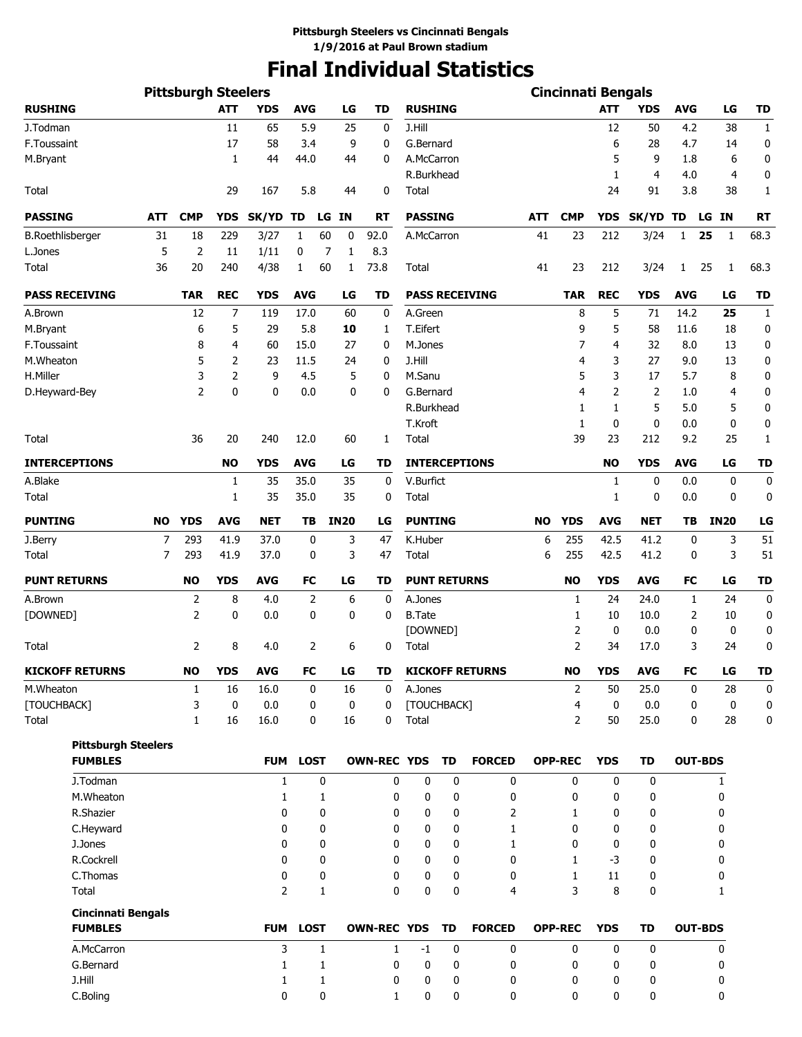## **Final Individual Statistics**

|                            |           | <b>Pittsburgh Steelers</b> |             |                     |             |                     |                    |                     |           |                        |            | <b>Cincinnati Bengals</b> |             |             |                |             |                  |
|----------------------------|-----------|----------------------------|-------------|---------------------|-------------|---------------------|--------------------|---------------------|-----------|------------------------|------------|---------------------------|-------------|-------------|----------------|-------------|------------------|
| <b>RUSHING</b>             |           |                            | <b>ATT</b>  | <b>YDS</b>          | <b>AVG</b>  | LG                  | <b>TD</b>          | <b>RUSHING</b>      |           |                        |            |                           | <b>ATT</b>  | <b>YDS</b>  | AVG            | LG          | TD               |
| J.Todman                   |           |                            | 11          | 65                  | 5.9         | 25                  | 0                  | J.Hill              |           |                        |            |                           | 12          | 50          | 4.2            | 38          | $\mathbf{1}$     |
| F.Toussaint                |           |                            | 17          | 58                  | 3.4         |                     | 9<br>0             | G.Bernard           |           |                        |            |                           | 6           | 28          | 4.7            | 14          | 0                |
| M.Bryant                   |           |                            | 1           | 44                  | 44.0        | 44                  | 0                  | A.McCarron          |           |                        |            |                           | 5           | 9           | 1.8            | 6           | 0                |
|                            |           |                            |             |                     |             |                     |                    | R.Burkhead          |           |                        |            |                           | 1           | 4           | 4.0            | 4           | 0                |
| Total                      |           |                            | 29          | 167                 | 5.8         | 44                  | 0                  | Total               |           |                        |            |                           | 24          | 91          | 3.8            | 38          | 1                |
| <b>PASSING</b>             | ATT       | <b>CMP</b>                 | <b>YDS</b>  | SK/YD TD            |             | <b>IN</b><br>LG     | <b>RT</b>          | <b>PASSING</b>      |           |                        | <b>ATT</b> | <b>CMP</b>                | <b>YDS</b>  | SK/YD TD    |                | LG IN       | <b>RT</b>        |
| <b>B.Roethlisberger</b>    | 31        | 18                         | 229         | 3/27                | 1           | 60<br>0             | 92.0               | A.McCarron          |           |                        | 41         | 23                        | 212         | 3/24        | $\mathbf{1}$   | 25<br>1     | 68.3             |
| L.Jones                    | 5         | 2                          | 11          | 1/11                | 0           | $\overline{7}$<br>1 | 8.3                |                     |           |                        |            |                           |             |             |                |             |                  |
| Total                      | 36        | 20                         | 240         | 4/38                | 1           | 60<br>1             | 73.8               | Total               |           |                        | 41         | 23                        | 212         | 3/24        | $\mathbf{1}$   | 25<br>1     | 68.3             |
| <b>PASS RECEIVING</b>      |           | <b>TAR</b>                 | <b>REC</b>  | <b>YDS</b>          | <b>AVG</b>  | LG                  | TD                 |                     |           | <b>PASS RECEIVING</b>  |            | <b>TAR</b>                | <b>REC</b>  | <b>YDS</b>  | <b>AVG</b>     | LG          | <b>TD</b>        |
| A.Brown                    |           | 12                         | 7           | 119                 | 17.0        | 60                  | 0                  | A.Green             |           |                        |            | 8                         | 5           | 71          | 14.2           | 25          | $\mathbf{1}$     |
| M.Bryant                   |           | 6                          | 5           | 29                  | 5.8         | 10                  | 1                  | T.Eifert            |           |                        |            | 9                         | 5           | 58          | 11.6           | 18          | 0                |
| F.Toussaint                |           | 8                          | 4           | 60                  | 15.0        | 27                  | 0                  | M.Jones             |           |                        |            | 7                         | 4           | 32          | 8.0            | 13          | 0                |
| M.Wheaton                  |           | 5                          | 2           | 23                  | 11.5        | 24                  | 0                  | J.Hill              |           |                        |            | 4                         | 3           | 27          | 9.0            | 13          | 0                |
| H.Miller                   |           | 3                          | 2           | 9                   | 4.5         |                     | 5<br>0             | M.Sanu              |           |                        |            | 5                         | 3           | 17          | 5.7            | 8           | 0                |
| D.Heyward-Bey              |           | 2                          | 0           | 0                   | 0.0         |                     | 0<br>0             | G.Bernard           |           |                        |            | $\overline{4}$            | 2           | 2           | 1.0            | 4           | 0                |
|                            |           |                            |             |                     |             |                     |                    | R.Burkhead          |           |                        |            | 1                         | 1           | 5           | 5.0            | 5           | 0                |
|                            |           |                            |             |                     |             |                     |                    | T.Kroft             |           |                        |            | 1                         | 0           | $\mathbf 0$ | 0.0            | $\mathbf 0$ | 0                |
| Total                      |           | 36                         | 20          | 240                 | 12.0        | 60                  | 1                  | Total               |           |                        |            | 39                        | 23          | 212         | 9.2            | 25          | 1                |
| <b>INTERCEPTIONS</b>       |           |                            | <b>NO</b>   | <b>YDS</b>          | <b>AVG</b>  | LG                  | TD                 |                     |           | <b>INTERCEPTIONS</b>   |            |                           | <b>NO</b>   | <b>YDS</b>  | <b>AVG</b>     | LG          | <b>TD</b>        |
| A.Blake                    |           |                            | 1           | 35                  | 35.0        | 35                  | 0                  | V.Burfict           |           |                        |            |                           | 1           | $\mathbf 0$ | 0.0            | $\mathbf 0$ | 0                |
| Total                      |           |                            | 1           | 35                  | 35.0        | 35                  | 0                  | Total               |           |                        |            |                           | 1           | 0           | 0.0            | 0           | 0                |
| <b>PUNTING</b>             | <b>NO</b> | <b>YDS</b>                 | <b>AVG</b>  | <b>NET</b>          | ΤВ          | <b>IN20</b>         | LG                 | <b>PUNTING</b>      |           |                        | <b>NO</b>  | <b>YDS</b>                | <b>AVG</b>  | <b>NET</b>  | TВ             | <b>IN20</b> | LG               |
| J.Berry                    | 7         | 293                        | 41.9        | 37.0                | 0           | 3                   | 47                 | K.Huber             |           |                        | 6          | 255                       | 42.5        | 41.2        | 0              | 3           | 51               |
| Total                      | 7         | 293                        | 41.9        | 37.0                | 0           |                     | 3<br>47            | Total               |           |                        | 6          | 255                       | 42.5        | 41.2        | 0              | 3           | 51               |
| <b>PUNT RETURNS</b>        |           | <b>NO</b>                  | <b>YDS</b>  | <b>AVG</b>          | FC          | LG                  | <b>TD</b>          | <b>PUNT RETURNS</b> |           |                        |            | <b>NO</b>                 | <b>YDS</b>  | <b>AVG</b>  | FC             | LG          | <b>TD</b>        |
| A.Brown                    |           | $\overline{2}$             | 8           | 4.0                 | 2           | 6                   | 0                  | A.Jones             |           |                        |            | 1                         | 24          | 24.0        | 1              | 24          | $\boldsymbol{0}$ |
| [DOWNED]                   |           | 2                          | 0           | 0.0                 | 0           | 0                   | 0                  | <b>B.Tate</b>       |           |                        |            | 1                         | 10          | 10.0        | 2              | 10          | 0                |
|                            |           |                            |             |                     |             |                     |                    | [DOWNED]            |           |                        |            | $\overline{2}$            | 0           | 0.0         | 0              | 0           | 0                |
| Total                      |           | 2                          | 8           | 4.0                 | 2           | 6                   | 0                  | Total               |           |                        |            | $\overline{2}$            | 34          | 17.0        | 3              | 24          | 0                |
| <b>KICKOFF RETURNS</b>     |           | <b>NO</b>                  | <b>YDS</b>  | <b>AVG</b>          | ${\sf FC}$  | LG                  | TD                 |                     |           | <b>KICKOFF RETURNS</b> |            | <b>NO</b>                 | <b>YDS</b>  | <b>AVG</b>  | FC             | LG          | <b>TD</b>        |
| M.Wheaton                  |           | 1                          | 16          | 16.0                | 0           | 16                  | 0                  | A.Jones             |           |                        |            | 2                         | 50          | 25.0        | 0              | 28          | 0                |
| [TOUCHBACK]                |           | 3                          | $\mathbf 0$ | 0.0                 | 0           |                     | 0<br>0             | [TOUCHBACK]         |           |                        |            | 4                         | 0           | 0.0         | 0              | $\mathbf 0$ | 0                |
| Total                      |           | $\mathbf{1}$               | 16          | 16.0                | 0           | 16                  | 0                  | Total               |           |                        |            | 2                         | 50          | 25.0        | 0              | 28          | 0                |
| <b>Pittsburgh Steelers</b> |           |                            |             |                     |             |                     |                    |                     |           |                        |            |                           |             |             |                |             |                  |
| <b>FUMBLES</b>             |           |                            |             | <b>FUM</b>          | <b>LOST</b> |                     | <b>OWN-REC YDS</b> |                     | TD        | <b>FORCED</b>          |            | <b>OPP-REC</b>            | <b>YDS</b>  | TD          | <b>OUT-BDS</b> |             |                  |
| J.Todman                   |           |                            |             | $\mathbf{1}$        |             | 0                   | 0                  | $\mathbf 0$         | 0         | 0                      |            | 0                         | $\mathbf 0$ | $\mathbf 0$ |                | 1           |                  |
| M.Wheaton                  |           |                            |             | $\mathbf{1}$        |             | 1                   | 0                  | 0                   | 0         | 0                      |            | 0                         | 0           | 0           |                | 0           |                  |
| R.Shazier                  |           |                            |             | 0                   |             | 0                   | 0                  | 0                   | 0         | 2                      |            | $\mathbf{1}$              | 0           | 0           |                | 0           |                  |
| C.Heyward                  |           |                            |             | 0                   |             | 0                   | 0                  | 0                   | 0         | 1                      |            | 0                         | 0           | 0           |                | 0           |                  |
| J.Jones                    |           |                            |             | 0                   |             | 0                   | 0                  | 0                   | 0         | 1                      |            | 0                         | 0           | 0           |                | 0           |                  |
| R.Cockrell                 |           |                            |             | 0                   |             | 0                   | 0                  | 0                   | 0         | 0                      |            | 1                         | $-3$        | 0           |                | 0           |                  |
| C.Thomas<br>Total          |           |                            |             | 0<br>$\overline{2}$ |             | 0<br>$\mathbf{1}$   | 0<br>0             | 0<br>0              | 0<br>0    | 0<br>4                 |            | $\mathbf{1}$<br>3         | 11<br>8     | 0<br>0      |                | 0<br>1      |                  |
| <b>Cincinnati Bengals</b>  |           |                            |             |                     |             |                     |                    |                     |           |                        |            |                           |             |             |                |             |                  |
| <b>FUMBLES</b>             |           |                            |             | <b>FUM</b>          | <b>LOST</b> |                     | <b>OWN-REC YDS</b> |                     | <b>TD</b> | <b>FORCED</b>          |            | <b>OPP-REC</b>            | <b>YDS</b>  | <b>TD</b>   | <b>OUT-BDS</b> |             |                  |
| A.McCarron                 |           |                            |             | 3                   |             | $\mathbf{1}$        | 1                  | $-1$                | 0         | 0                      |            | 0                         | 0           | 0           |                | 0           |                  |
| G.Bernard                  |           |                            |             | 1                   |             | 1                   | 0                  | 0                   | 0         | 0                      |            | 0                         | 0           | 0           |                | 0           |                  |
| J.Hill                     |           |                            |             | 1                   |             | 1                   | 0                  | 0                   | 0         | 0                      |            | 0                         | 0           | 0           |                | 0           |                  |
| C.Boling                   |           |                            |             | 0                   |             | 0                   | 1                  | 0                   | 0         | 0                      |            | 0                         | 0           | 0           |                | 0           |                  |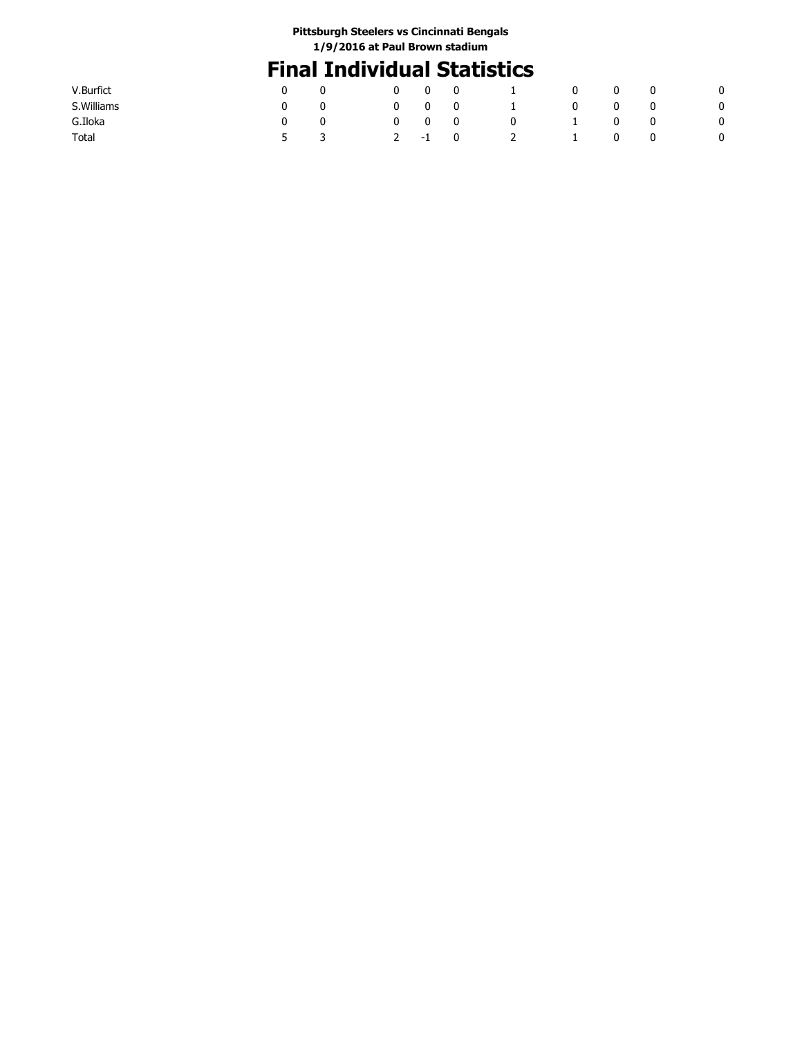## **Final Individual Statistics**

| V.Burfict   |              | 0 | 0      | 0           | $\perp$       | 0        | 0 | U | 0 |
|-------------|--------------|---|--------|-------------|---------------|----------|---|---|---|
| S. Williams |              | 0 | 0      | $\mathbf 0$ | $\mathbf{L}$  | <b>U</b> | 0 | U | 0 |
| G.Iloka     |              | 0 | 0      | $\bf{0}$    | U             |          | U | 0 | 0 |
| Total       | $\mathbf{5}$ |   | $2 -1$ | $\mathbf 0$ | $\mathcal{L}$ |          | 0 | υ | 0 |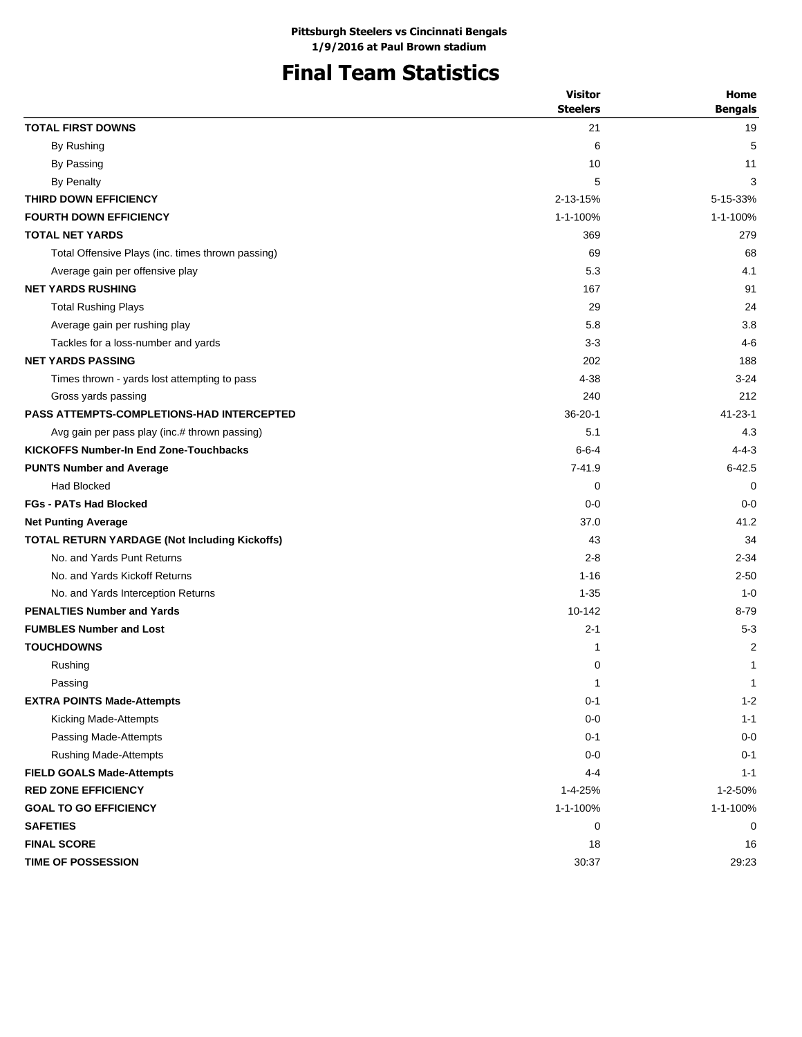## **Final Team Statistics**

| <b>Visitor</b> | Home                                                                                                                                      |
|----------------|-------------------------------------------------------------------------------------------------------------------------------------------|
|                | <b>Bengals</b>                                                                                                                            |
|                | 19                                                                                                                                        |
|                | 5                                                                                                                                         |
|                | 11                                                                                                                                        |
|                | 3                                                                                                                                         |
|                | 5-15-33%                                                                                                                                  |
|                | 1-1-100%                                                                                                                                  |
|                | 279                                                                                                                                       |
|                | 68                                                                                                                                        |
|                | 4.1                                                                                                                                       |
|                | 91                                                                                                                                        |
|                | 24                                                                                                                                        |
| 5.8            | 3.8                                                                                                                                       |
| $3 - 3$        | 4-6                                                                                                                                       |
| 202            | 188                                                                                                                                       |
| 4-38           | $3 - 24$                                                                                                                                  |
| 240            | 212                                                                                                                                       |
| $36 - 20 - 1$  | $41 - 23 - 1$                                                                                                                             |
| 5.1            | 4.3                                                                                                                                       |
| $6 - 6 - 4$    | $4 - 4 - 3$                                                                                                                               |
| $7 - 41.9$     | $6 - 42.5$                                                                                                                                |
| 0              | 0                                                                                                                                         |
| $0 - 0$        | $0 - 0$                                                                                                                                   |
| 37.0           | 41.2                                                                                                                                      |
| 43             | 34                                                                                                                                        |
| $2 - 8$        | $2 - 34$                                                                                                                                  |
| $1 - 16$       | $2 - 50$                                                                                                                                  |
| $1 - 35$       | $1 - 0$                                                                                                                                   |
| 10-142         | $8 - 79$                                                                                                                                  |
| $2 - 1$        | $5 - 3$                                                                                                                                   |
| 1              | $\overline{2}$                                                                                                                            |
| 0              | 1                                                                                                                                         |
| $\mathbf{1}$   | $\mathbf{1}$                                                                                                                              |
| $0 - 1$        | $1 - 2$                                                                                                                                   |
| $0-0$          | $1 - 1$                                                                                                                                   |
| $0 - 1$        | $0-0$                                                                                                                                     |
| $0 - 0$        | $0 - 1$                                                                                                                                   |
| 4-4            | $1 - 1$                                                                                                                                   |
|                | 1-2-50%                                                                                                                                   |
|                | 1-1-100%                                                                                                                                  |
|                | 0                                                                                                                                         |
|                | 16                                                                                                                                        |
|                | 29:23                                                                                                                                     |
|                | <b>Steelers</b><br>21<br>6<br>10<br>5<br>2-13-15%<br>1-1-100%<br>369<br>69<br>5.3<br>167<br>29<br>1-4-25%<br>1-1-100%<br>0<br>18<br>30:37 |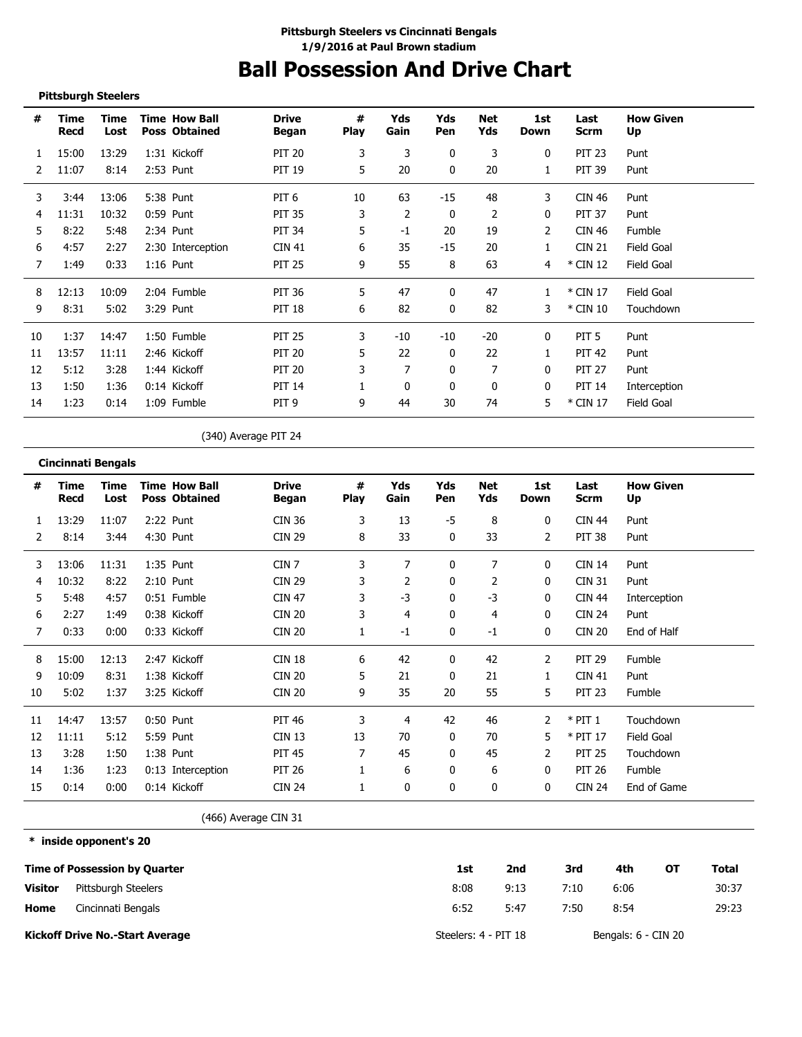## **Ball Possession And Drive Chart**

### **Pittsburgh Steelers**

**\* inside opponent's 20**

| #  | Time<br>Recd | Time<br>Lost | <b>Time How Ball</b><br><b>Poss Obtained</b> | <b>Drive</b><br>Began | #<br><b>Play</b> | Yds<br>Gain | Yds<br>Pen | Net<br>Yds | 1st<br>Down | Last<br><b>Scrm</b> | <b>How Given</b><br>Up |
|----|--------------|--------------|----------------------------------------------|-----------------------|------------------|-------------|------------|------------|-------------|---------------------|------------------------|
|    | 15:00        | 13:29        | 1:31 Kickoff                                 | <b>PIT 20</b>         | 3                | 3           | 0          | 3          | 0           | <b>PIT 23</b>       | Punt                   |
| 2  | 11:07        | 8:14         | 2:53 Punt                                    | <b>PIT 19</b>         | 5                | 20          | 0          | 20         |             | <b>PIT 39</b>       | Punt                   |
| 3  | 3:44         | 13:06        | 5:38 Punt                                    | PIT <sub>6</sub>      | 10               | 63          | $-15$      | 48         | 3           | CIN 46              | Punt                   |
| 4  | 11:31        | 10:32        | 0:59 Punt                                    | <b>PIT 35</b>         | 3                | 2           | 0          | 2          | 0           | <b>PIT 37</b>       | Punt                   |
| 5  | 8:22         | 5:48         | 2:34 Punt                                    | <b>PIT 34</b>         | 5.               | $-1$        | 20         | 19         | 2           | <b>CIN 46</b>       | Fumble                 |
| 6  | 4:57         | 2:27         | 2:30 Interception                            | <b>CIN 41</b>         | 6                | 35          | $-15$      | 20         |             | <b>CIN 21</b>       | Field Goal             |
| 7  | 1:49         | 0:33         | $1:16$ Punt                                  | <b>PIT 25</b>         | 9                | 55          | 8          | 63         | 4           | $*$ CIN 12          | Field Goal             |
| 8  | 12:13        | 10:09        | 2:04 Fumble                                  | <b>PIT 36</b>         | 5                | 47          | 0          | 47         |             | * CIN 17            | Field Goal             |
| 9  | 8:31         | 5:02         | 3:29 Punt                                    | <b>PIT 18</b>         | 6                | 82          | 0          | 82         | 3           | * CIN 10            | Touchdown              |
| 10 | 1:37         | 14:47        | 1:50 Fumble                                  | <b>PIT 25</b>         | 3                | -10         | -10        | $-20$      | 0           | PIT <sub>5</sub>    | Punt                   |
| 11 | 13:57        | 11:11        | 2:46 Kickoff                                 | <b>PIT 20</b>         | 5                | 22          | 0          | 22         |             | <b>PIT 42</b>       | Punt                   |
| 12 | 5:12         | 3:28         | 1:44 Kickoff                                 | <b>PIT 20</b>         |                  | 7           | 0          |            | 0           | <b>PIT 27</b>       | Punt                   |
| 13 | 1:50         | 1:36         | 0:14 Kickoff                                 | <b>PIT 14</b>         |                  | $\Omega$    | 0          | 0          | 0           | <b>PIT 14</b>       | Interception           |
| 14 | 1:23         | 0:14         | 1:09 Fumble                                  | PIT <sub>9</sub>      | 9                | 44          | 30         | 74         | 5           | * CIN 17            | Field Goal             |

(340) Average PIT 24

|    | <b>Cincinnati Bengals</b> |              |                                              |                       |                  |             |            |                   |             |               |                        |
|----|---------------------------|--------------|----------------------------------------------|-----------------------|------------------|-------------|------------|-------------------|-------------|---------------|------------------------|
| #  | Time<br>Recd              | Time<br>Lost | <b>Time How Ball</b><br><b>Poss Obtained</b> | <b>Drive</b><br>Began | #<br><b>Play</b> | Yds<br>Gain | Yds<br>Pen | <b>Net</b><br>Yds | 1st<br>Down | Last<br>Scrm  | <b>How Given</b><br>Up |
| 1  | 13:29                     | 11:07        | 2:22 Punt                                    | <b>CIN 36</b>         | 3                | 13          | -5         | 8                 | 0           | <b>CIN 44</b> | Punt                   |
| 2  | 8:14                      | 3:44         | 4:30 Punt                                    | <b>CIN 29</b>         | 8                | 33          | 0          | 33                | 2           | <b>PIT 38</b> | Punt                   |
| 3  | 13:06                     | 11:31        | $1:35$ Punt                                  | CIN <sub>7</sub>      | 3                | 7           | 0          | 7                 | 0           | <b>CIN 14</b> | Punt                   |
| 4  | 10:32                     | 8:22         | $2:10$ Punt                                  | <b>CIN 29</b>         | 3                | 2           | 0          | 2                 | 0           | <b>CIN 31</b> | Punt                   |
| 5  | 5:48                      | 4:57         | 0:51 Fumble                                  | <b>CIN 47</b>         | 3                | $-3$        | 0          | $-3$              | 0           | <b>CIN 44</b> | Interception           |
| 6  | 2:27                      | 1:49         | 0:38 Kickoff                                 | <b>CIN 20</b>         | 3                | 4           | 0          | 4                 | 0           | <b>CIN 24</b> | Punt                   |
| 7  | 0:33                      | 0:00         | 0:33 Kickoff                                 | <b>CIN 20</b>         |                  | $-1$        | 0          | $-1$              | 0           | <b>CIN 20</b> | End of Half            |
| 8  | 15:00                     | 12:13        | 2:47 Kickoff                                 | <b>CIN 18</b>         | 6                | 42          | 0          | 42                | 2           | <b>PIT 29</b> | Fumble                 |
| 9  | 10:09                     | 8:31         | 1:38 Kickoff                                 | <b>CIN 20</b>         | 5                | 21          | 0          | 21                | 1           | <b>CIN 41</b> | Punt                   |
| 10 | 5:02                      | 1:37         | 3:25 Kickoff                                 | <b>CIN 20</b>         | 9                | 35          | 20         | 55                | 5           | <b>PIT 23</b> | Fumble                 |
| 11 | 14:47                     | 13:57        | 0:50 Punt                                    | <b>PIT 46</b>         | 3                | 4           | 42         | 46                | 2           | $*$ PIT 1     | Touchdown              |
| 12 | 11:11                     | 5:12         | 5:59 Punt                                    | CIN 13                | 13               | 70          | 0          | 70                | 5           | $*$ PIT 17    | <b>Field Goal</b>      |
| 13 | 3:28                      | 1:50         | 1:38 Punt                                    | <b>PIT 45</b>         | 7                | 45          | 0          | 45                | 2           | <b>PIT 25</b> | Touchdown              |
| 14 | 1:36                      | 1:23         | 0:13 Interception                            | <b>PIT 26</b>         |                  | 6           | 0          | 6                 | 0           | <b>PIT 26</b> | Fumble                 |
| 15 | 0:14                      | 0:00         | 0:14 Kickoff                                 | <b>CIN 24</b>         |                  | 0           | 0          | 0                 | 0           | <b>CIN 24</b> | End of Game            |

(466) Average CIN 31

**Time of Possession by Quarter Home Visitor Kickoff Drive No.-Start Average 1st 2nd 3rd 4th OT Total** 8:08 6:52 9:13 7:10 6:06 30:37 5:47 7:50 8:54 29:23 Steelers: 4 - PIT 18 Bengals: 6 - CIN 20 Pittsburgh Steelers Cincinnati Bengals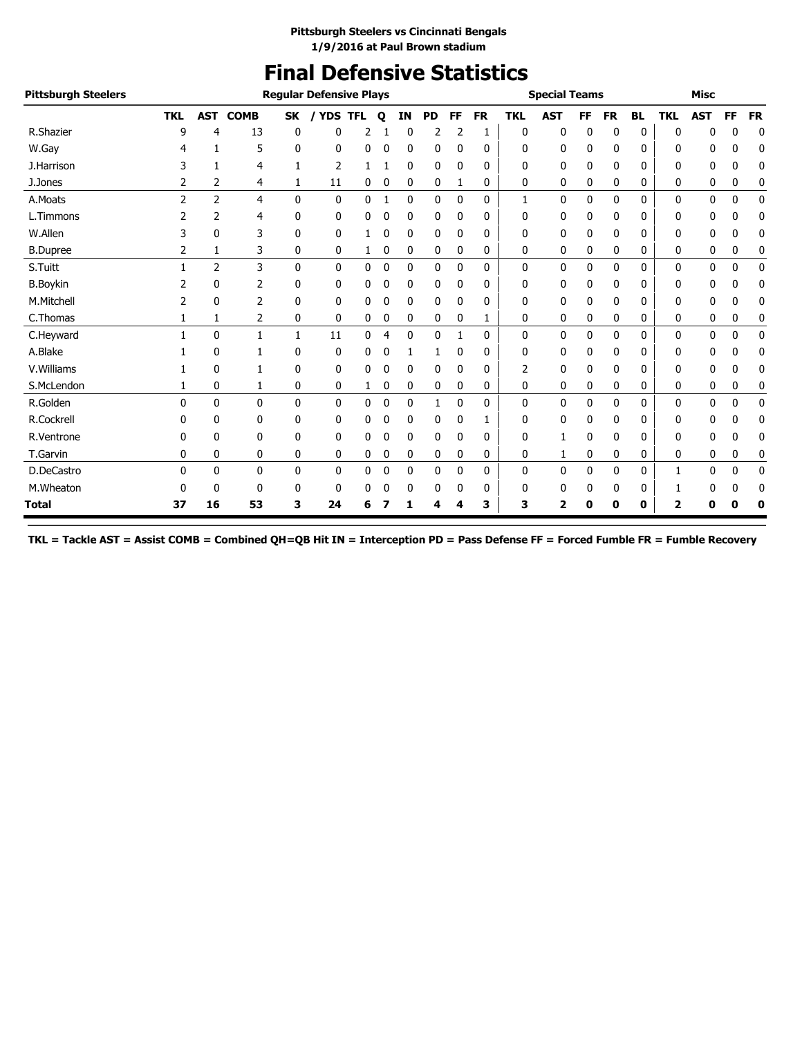## **Final Defensive Statistics**

| <b>Pittsburgh Steelers</b> |                |                |              |              | <b>Regular Defensive Plays</b> |   |   |              |           |              |           |              | <b>Special Teams</b> |    |           |              |            | <b>Misc</b>  |              |             |
|----------------------------|----------------|----------------|--------------|--------------|--------------------------------|---|---|--------------|-----------|--------------|-----------|--------------|----------------------|----|-----------|--------------|------------|--------------|--------------|-------------|
|                            | <b>TKL</b>     | <b>AST</b>     | <b>COMB</b>  |              | SK / YDS TFL                   |   | Q | <b>IN</b>    | <b>PD</b> | <b>FF</b>    | <b>FR</b> | <b>TKL</b>   | <b>AST</b>           | FF | <b>FR</b> | <b>BL</b>    | <b>TKL</b> | <b>AST</b>   | <b>FF</b>    | <b>FR</b>   |
| R.Shazier                  | 9              | 4              | 13           | $\mathbf{0}$ | ŋ                              |   |   | 0            |           |              | 1         | 0            | 0                    | 0  | 0         | 0            | 0          | 0            | 0            | 0           |
| W.Gay                      | 4              | 1              | 5            | 0            | 0                              | 0 | 0 | $\mathbf{0}$ | 0         | 0            | 0         | 0            | 0                    | 0  | 0         | 0            | 0          | 0            | 0            | 0           |
| J.Harrison                 | 3              | 1              | 4            | 1            | 2                              |   |   | 0            | 0         | 0            | 0         | 0            | 0                    | 0  | 0         | 0            | 0          | 0            | 0            | 0           |
| J.Jones                    | 2              | 2              | 4            | 1            | 11                             | 0 | 0 | 0            | 0         | 1            | 0         | 0            | 0                    | 0  | 0         | 0            | 0          | 0            | 0            | 0           |
| A.Moats                    | $\overline{2}$ | $\overline{2}$ | 4            | $\mathbf{0}$ | 0                              | 0 | 1 | $\mathbf 0$  | 0         | 0            | 0         | 1            | 0                    | 0  | 0         | 0            | 0          | $\mathbf{0}$ | 0            | 0           |
| L.Timmons                  | 2              | 2              | 4            | 0            | 0                              | 0 | 0 | 0            | 0         | 0            | 0         | 0            | 0                    | 0  | 0         | 0            | 0          | 0            | 0            | 0           |
| W.Allen                    | 3              | 0              | 3            | $\mathbf{0}$ | 0                              |   | 0 | 0            | 0         | 0            | 0         | 0            | 0                    | 0  | 0         | 0            | 0          | 0            | 0            | 0           |
| <b>B.Dupree</b>            | 2              | 1              | 3            | 0            | 0                              | 1 | 0 | 0            | 0         | 0            | 0         | 0            | 0                    | 0  | 0         | 0            | 0          | 0            | 0            | 0           |
| S.Tuitt                    |                | $\overline{2}$ | 3            | $\mathbf{0}$ | 0                              | 0 | 0 | 0            | 0         | 0            | 0         | $\mathbf{0}$ | 0                    | 0  | 0         | 0            | 0          | 0            | 0            | 0           |
| <b>B.Boykin</b>            | 2              | 0              | 2            | 0            | 0                              | 0 | 0 | 0            | 0         | 0            | 0         | 0            | 0                    | 0  | 0         | 0            | 0          | 0            | 0            | 0           |
| M.Mitchell                 | 2              | 0              | 2            | 0            | 0                              | 0 | 0 | 0            | 0         | 0            | 0         | 0            | 0                    | 0  | 0         | 0            | 0          | 0            | 0            | 0           |
| C.Thomas                   |                | 1              | 2            | 0            | 0                              | 0 | 0 | 0            | 0         | 0            |           | 0            | 0                    | 0  | 0         | 0            | 0          | 0            | 0            | 0           |
| C.Heyward                  |                | $\mathbf{0}$   | $\mathbf{1}$ | $\mathbf{1}$ | 11                             | 0 | 4 | $\mathbf 0$  | 0         | 1            | 0         | 0            | 0                    | 0  | 0         | $\mathbf{0}$ | 0          | 0            | 0            | $\mathbf 0$ |
| A.Blake                    |                | 0              | 1            | 0            | 0                              | 0 | 0 | 1            |           | 0            | 0         | 0            | 0                    | 0  | 0         | 0            | 0          | 0            | ŋ            | 0           |
| V. Williams                |                | 0              | 1            | $\mathbf{0}$ | 0                              | 0 | 0 | 0            | 0         | 0            | 0         | 2            | 0                    | 0  | 0         | 0            | 0          | 0            | 0            | 0           |
| S.McLendon                 |                | $\mathbf 0$    | 1            | 0            | 0                              | 1 | 0 | 0            | 0         | 0            | 0         | 0            | 0                    | 0  | 0         | 0            | 0          | 0            | 0            | 0           |
| R.Golden                   | 0              | 0              | 0            | $\mathbf{0}$ | 0                              | 0 | 0 | $\mathbf{0}$ | 1         | $\mathbf{0}$ | 0         | 0            | 0                    | 0  | 0         | 0            | 0          | 0            | $\mathbf{0}$ | $\mathbf 0$ |
| R.Cockrell                 |                | 0              | 0            | 0            | 0                              | 0 | 0 | 0            | 0         | 0            | 1         | 0            | 0                    | 0  | 0         | 0            | 0          | 0            | 0            | 0           |
| R.Ventrone                 | 0              | 0              | 0            | 0            | 0                              | 0 | 0 | 0            | 0         | 0            | 0         | 0            | 1                    | 0  | 0         | 0            | 0          | 0            | 0            | 0           |
| T.Garvin                   | 0              | 0              | 0            | 0            | 0                              | 0 | 0 | 0            | 0         | 0            | 0         | 0            | 1                    | 0  | 0         | 0            | 0          | 0            | 0            | 0           |
| D.DeCastro                 | 0              | 0              | 0            | $\mathbf{0}$ | 0                              | 0 | 0 | 0            | 0         | 0            | 0         | 0            | 0                    | 0  | 0         | 0            | 1          | 0            | 0            | 0           |
| M.Wheaton                  | 0              | 0              | 0            | 0            | 0                              | 0 | Ω | 0            | 0         | 0            | 0         | 0            | 0                    | 0  | 0         | 0            |            | 0            | 0            | 0           |
| <b>Total</b>               | 37             | 16             | 53           | 3            | 24                             | 6 |   |              | 4         |              | 3         | 3            | 2                    | Λ  | 0         | 0            | 2          | 0            | 0            | 0           |

**TKL = Tackle AST = Assist COMB = Combined QH=QB Hit IN = Interception PD = Pass Defense FF = Forced Fumble FR = Fumble Recovery**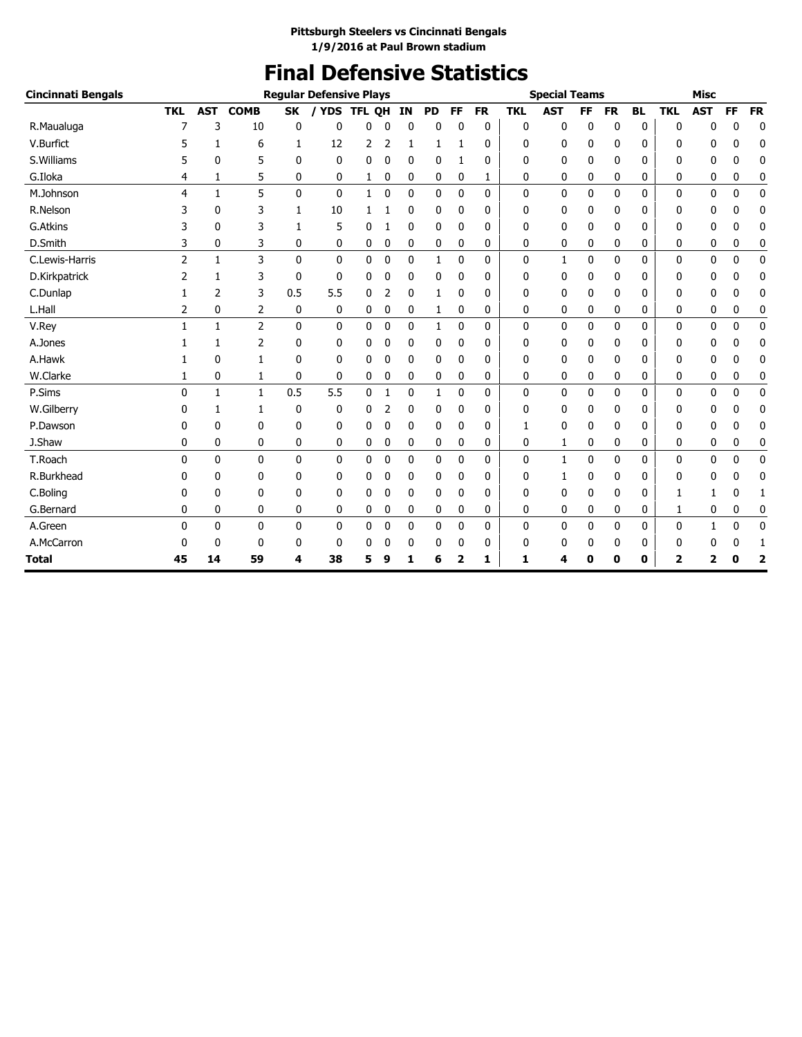# **Final Defensive Statistics**

| Cincinnati Bengals |              |              |                |              | <b>Regular Defensive Plays</b> |               |              |              |              |              |              |              | <b>Special Teams</b> |           |           |           |              | <b>Misc</b>  |              |                         |
|--------------------|--------------|--------------|----------------|--------------|--------------------------------|---------------|--------------|--------------|--------------|--------------|--------------|--------------|----------------------|-----------|-----------|-----------|--------------|--------------|--------------|-------------------------|
|                    | <b>TKL</b>   | <b>AST</b>   | <b>COMB</b>    | <b>SK</b>    | / YDS                          | <b>TFL QH</b> |              | ΙN           | <b>PD</b>    | <b>FF</b>    | <b>FR</b>    | <b>TKL</b>   | <b>AST</b>           | <b>FF</b> | <b>FR</b> | <b>BL</b> | <b>TKL</b>   | <b>AST</b>   | <b>FF</b>    | <b>FR</b>               |
| R.Maualuga         | 7            | 3            | 10             | 0            | 0                              | 0             | 0            | 0            | 0            | 0            | 0            | 0            | 0                    | 0         | 0         | 0         | 0            | 0            | 0            | 0                       |
| V.Burfict          |              | 1            | 6              | 1            | 12                             | 2             | 2            | 1            | 1            |              | 0            | 0            | 0                    | 0         | 0         | 0         | 0            | 0            | 0            | 0                       |
| S.Williams         |              | 0            | 5              | 0            | $\mathbf{0}$                   | 0             | 0            | 0            | 0            | 1            | 0            | 0            | 0                    | 0         | 0         | 0         | 0            | 0            | 0            | 0                       |
| G.Iloka            | 4            | 1            | 5              | 0            | 0                              | 1             | 0            | 0            | 0            | 0            | 1            | 0            | 0                    | 0         | 0         | 0         | 0            | 0            | 0            | 0                       |
| M.Johnson          | 4            | $\mathbf{1}$ | 5              | $\mathbf 0$  | $\mathbf{0}$                   | $\mathbf{1}$  | $\mathbf 0$  | 0            | $\mathbf{0}$ | $\mathbf 0$  | 0            | 0            | $\mathbf 0$          | 0         | 0         | 0         | $\mathbf 0$  | 0            | $\mathbf 0$  | $\pmb{0}$               |
| R.Nelson           | 3            | 0            | 3              | 1            | 10                             |               |              | 0            | 0            | 0            | 0            | 0            | 0                    | 0         | 0         | 0         | 0            | 0            | 0            | 0                       |
| G.Atkins           |              | $\mathbf{0}$ | 3              | 1            | 5                              | 0             |              | 0            | 0            | 0            | 0            | 0            | $\mathbf 0$          | 0         | 0         | 0         | 0            | 0            | 0            | 0                       |
| D.Smith            | 3            | 0            | 3              | 0            | 0                              | 0             | 0            | 0            | 0            | 0            | 0            | 0            | 0                    | 0         | 0         | 0         | 0            | 0            | 0            | 0                       |
| C.Lewis-Harris     | 2            | 1            | 3              | $\mathbf{0}$ | 0                              | 0             | 0            | 0            | 1            | 0            | 0            | 0            | $\mathbf{1}$         | 0         | 0         | 0         | $\mathbf{0}$ | 0            | 0            | 0                       |
| D.Kirkpatrick      | 2            | 1            | 3              | 0            | 0                              | 0             | 0            | 0            | 0            | 0            | 0            | 0            | 0                    | 0         | 0         | 0         | 0            | 0            | 0            | 0                       |
| C.Dunlap           |              | 2            | 3              | 0.5          | 5.5                            | 0             | 2            | 0            | 1            | 0            | 0            | O            | 0                    | 0         | 0         | 0         | 0            | 0            | 0            | $\mathbf 0$             |
| L.Hall             | 2            | 0            | 2              | 0            | 0                              | 0             | 0            | 0            | 1            | 0            | 0            | 0            | 0                    | 0         | 0         | 0         | 0            | 0            | 0            | 0                       |
| V.Rey              | 1            | $\mathbf{1}$ | $\overline{2}$ | $\mathbf{0}$ | 0                              | 0             | $\mathbf{0}$ | $\mathbf{0}$ | 1            | $\mathbf{0}$ | $\mathbf{0}$ | 0            | 0                    | 0         | 0         | 0         | 0            | 0            | $\mathbf{0}$ | $\mathbf 0$             |
| A.Jones            |              |              | 2              | 0            | 0                              | 0             | 0            | 0            | 0            | 0            | 0            | 0            | 0                    | 0         | 0         | 0         | 0            | 0            | 0            | 0                       |
| A.Hawk             |              | 0            | 1              | 0            | 0                              | 0             | 0            | 0            | 0            | 0            | 0            | 0            | 0                    | 0         | 0         | 0         | 0            | 0            | 0            | $\mathbf 0$             |
| W.Clarke           |              | 0            | 1              | 0            | 0                              | 0             | 0            | 0            | 0            | 0            | 0            | 0            | $\mathbf 0$          | 0         | 0         | 0         | 0            | 0            | 0            | $\mathbf 0$             |
| P.Sims             | $\mathbf{0}$ | 1            | $\mathbf{1}$   | 0.5          | 5.5                            | 0             | 1            | 0            | 1            | 0            | 0            | 0            | 0                    | 0         | 0         | 0         | 0            | 0            | 0            | $\mathbf 0$             |
| W.Gilberry         |              | 1            | 1              | 0            | 0                              | 0             | 2            | 0            | 0            | 0            | 0            | 0            | 0                    | 0         | 0         | 0         | 0            | 0            | 0            | 0                       |
| P.Dawson           | 0            | 0            | 0              | 0            | 0                              | 0             | 0            | 0            | 0            | 0            | 0            | 1            | 0                    | 0         | 0         | 0         | 0            | 0            | 0            | 0                       |
| J.Shaw             | 0            | 0            | 0              | 0            | 0                              | 0             | 0            | 0            | 0            | 0            | 0            | 0            | 1                    | 0         | 0         | 0         | 0            | 0            | 0            | 0                       |
| T.Roach            | $\Omega$     | $\mathbf{0}$ | $\mathbf{0}$   | $\mathbf{0}$ | 0                              | 0             | 0            | 0            | 0            | $\mathbf 0$  | 0            | $\mathbf{0}$ | $\mathbf{1}$         | 0         | 0         | 0         | $\mathbf{0}$ | 0            | $\mathbf 0$  | 0                       |
| R.Burkhead         | 0            | 0            | 0              | 0            | 0                              | 0             | 0            | 0            | 0            | 0            | 0            | 0            | 1                    | 0         | 0         | 0         | 0            | 0            | 0            | 0                       |
| C.Boling           | 0            | 0            | 0              | 0            | 0                              | 0             | 0            | 0            | 0            | 0            | 0            | 0            | $\mathbf 0$          | 0         | 0         | 0         | 1            | 1            | 0            | 1                       |
| G.Bernard          | 0            | 0            | 0              | 0            | 0                              | 0             | 0            | 0            | 0            | 0            | 0            | 0            | 0                    | 0         | 0         | 0         | 1            | 0            | 0            | 0                       |
| A.Green            | $\Omega$     | $\Omega$     | $\mathbf{0}$   | $\mathbf{0}$ | 0                              | 0             | $\mathbf 0$  | 0            | 0            | $\mathbf 0$  | 0            | $\mathbf{0}$ | $\mathbf 0$          | 0         | 0         | 0         | $\mathbf{0}$ | $\mathbf{1}$ | $\mathbf 0$  | $\mathbf 0$             |
| A.McCarron         | 0            | 0            | $\mathbf{0}$   | 0            | 0                              | 0             | 0            | 0            | 0            | 0            | 0            | 0            | 0                    | 0         | 0         | 0         | 0            | 0            | 0            | 1                       |
| Total              | 45           | 14           | 59             | 4            | 38                             | 5             | 9            | 1            | 6            | 2            | 1            | 1            | 4                    | 0         | 0         | 0         | 2            | 2            | 0            | $\overline{\mathbf{2}}$ |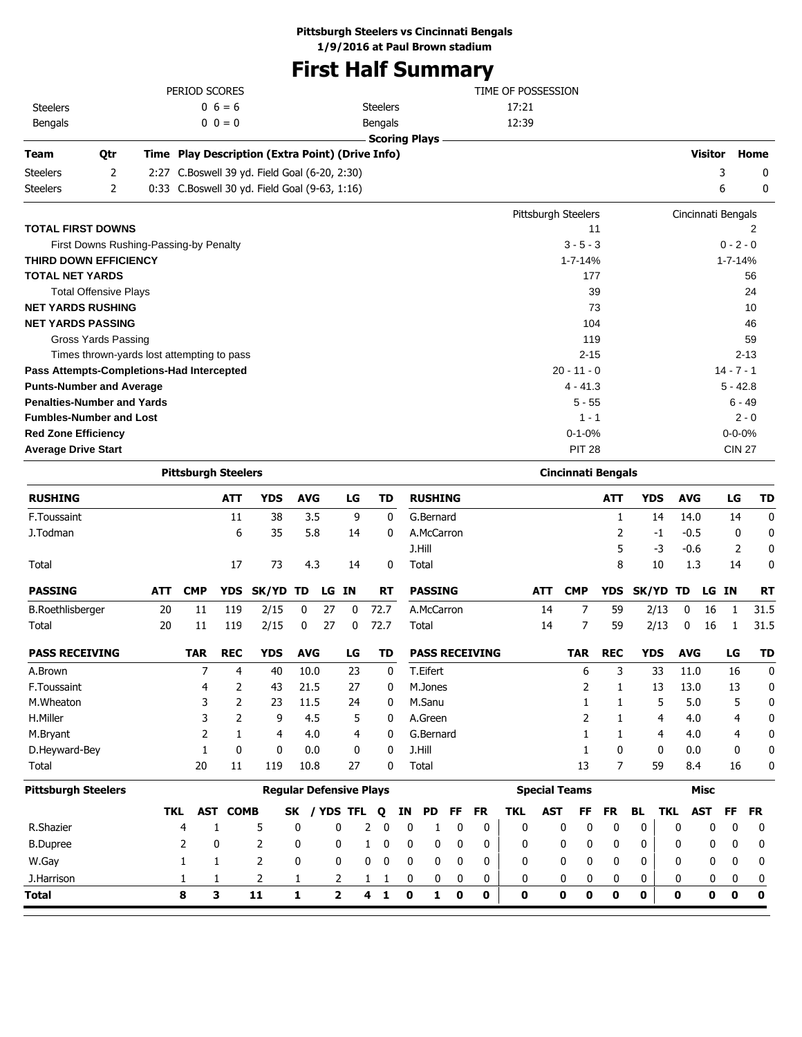## **Pittsburgh Steelers vs Cincinnati Bengals**

**1/9/2016 at Paul Brown stadium**

## **First Half Summary**

|                                            |     | PERIOD SCORES              |                 |                                                  |              |       |    |                      |    |                |    |                       |            | TIME OF POSSESSION |                           |            |            |                    |                |               |              |
|--------------------------------------------|-----|----------------------------|-----------------|--------------------------------------------------|--------------|-------|----|----------------------|----|----------------|----|-----------------------|------------|--------------------|---------------------------|------------|------------|--------------------|----------------|---------------|--------------|
| <b>Steelers</b>                            |     |                            | $0\;6=6$        |                                                  |              |       |    | <b>Steelers</b>      |    |                |    |                       | 17:21      |                    |                           |            |            |                    |                |               |              |
| Bengals                                    |     |                            | $0 \t0 = 0$     |                                                  |              |       |    | Bengals              |    |                |    |                       | 12:39      |                    |                           |            |            |                    |                |               |              |
|                                            |     |                            |                 |                                                  |              |       |    | <b>Scoring Plays</b> |    |                |    |                       |            |                    |                           |            |            |                    |                |               |              |
| Team<br>Qtr                                |     |                            |                 | Time Play Description (Extra Point) (Drive Info) |              |       |    |                      |    |                |    |                       |            |                    |                           |            |            |                    | <b>Visitor</b> |               | Home         |
| 2<br><b>Steelers</b>                       |     |                            |                 | 2:27 C.Boswell 39 yd. Field Goal (6-20, 2:30)    |              |       |    |                      |    |                |    |                       |            |                    |                           |            |            |                    |                | 3             | 0            |
| 2<br><b>Steelers</b>                       |     |                            |                 | 0:33 C.Boswell 30 yd. Field Goal (9-63, 1:16)    |              |       |    |                      |    |                |    |                       |            |                    |                           |            |            |                    |                | 6             | 0            |
|                                            |     |                            |                 |                                                  |              |       |    |                      |    |                |    |                       |            |                    | Pittsburgh Steelers       |            |            | Cincinnati Bengals |                |               |              |
| <b>TOTAL FIRST DOWNS</b>                   |     |                            |                 |                                                  |              |       |    |                      |    |                |    |                       |            |                    | 11                        |            |            |                    |                |               | 2            |
| First Downs Rushing-Passing-by Penalty     |     |                            |                 |                                                  |              |       |    |                      |    |                |    |                       |            |                    | $3 - 5 - 3$               |            |            |                    |                | $0 - 2 - 0$   |              |
| <b>THIRD DOWN EFFICIENCY</b>               |     |                            |                 |                                                  |              |       |    |                      |    |                |    |                       |            |                    | 1-7-14%                   |            |            |                    |                | $1 - 7 - 14%$ |              |
| <b>TOTAL NET YARDS</b>                     |     |                            |                 |                                                  |              |       |    |                      |    |                |    |                       |            |                    | 177                       |            |            |                    |                |               | 56           |
| <b>Total Offensive Plays</b>               |     |                            |                 |                                                  |              |       |    |                      |    |                |    |                       |            |                    | 39                        |            |            |                    |                |               | 24           |
| <b>NET YARDS RUSHING</b>                   |     |                            |                 |                                                  |              |       |    |                      |    |                |    |                       |            |                    | 73                        |            |            |                    |                |               | 10           |
| <b>NET YARDS PASSING</b>                   |     |                            |                 |                                                  |              |       |    |                      |    |                |    |                       |            |                    | 104                       |            |            |                    |                |               | 46           |
| Gross Yards Passing                        |     |                            |                 |                                                  |              |       |    |                      |    |                |    |                       |            |                    | 119                       |            |            |                    |                |               | 59           |
| Times thrown-yards lost attempting to pass |     |                            |                 |                                                  |              |       |    |                      |    |                |    |                       |            |                    | $2 - 15$                  |            |            |                    |                |               | $2 - 13$     |
| Pass Attempts-Completions-Had Intercepted  |     |                            |                 |                                                  |              |       |    |                      |    |                |    |                       |            |                    | $20 - 11 - 0$             |            |            |                    |                | $14 - 7 - 1$  |              |
| <b>Punts-Number and Average</b>            |     |                            |                 |                                                  |              |       |    |                      |    |                |    |                       |            |                    | $4 - 41.3$                |            |            |                    |                | $5 - 42.8$    |              |
| <b>Penalties-Number and Yards</b>          |     |                            |                 |                                                  |              |       |    |                      |    |                |    |                       |            |                    | 5 - 55                    |            |            |                    |                | 6 - 49        |              |
| <b>Fumbles-Number and Lost</b>             |     |                            |                 |                                                  |              |       |    |                      |    |                |    |                       |            |                    | $1 - 1$                   |            |            |                    |                |               | $2 - 0$      |
| <b>Red Zone Efficiency</b>                 |     |                            |                 |                                                  |              |       |    |                      |    |                |    |                       |            |                    | $0 - 1 - 0%$              |            |            |                    |                | $0 - 0 - 0%$  |              |
| <b>Average Drive Start</b>                 |     |                            |                 |                                                  |              |       |    |                      |    |                |    |                       |            |                    | <b>PIT 28</b>             |            |            |                    |                | <b>CIN 27</b> |              |
|                                            |     | <b>Pittsburgh Steelers</b> |                 |                                                  |              |       |    |                      |    |                |    |                       |            |                    | <b>Cincinnati Bengals</b> |            |            |                    |                |               |              |
| <b>RUSHING</b>                             |     |                            | ATT             | <b>YDS</b>                                       | <b>AVG</b>   |       | LG | <b>TD</b>            |    | <b>RUSHING</b> |    |                       |            |                    |                           | <b>ATT</b> | <b>YDS</b> | <b>AVG</b>         |                | LG            | TD           |
| F.Toussaint                                |     |                            | 11              | 38                                               | 3.5          |       | 9  | 0                    |    | G.Bernard      |    |                       |            |                    |                           | 1          | 14         | 14.0               |                | 14            | 0            |
| J.Todman                                   |     |                            | 6               | 35                                               | 5.8          |       | 14 | 0                    |    | A.McCarron     |    |                       |            |                    |                           | 2          | -1         | $-0.5$             |                | 0             | 0            |
|                                            |     |                            |                 |                                                  |              |       |    |                      |    | J.Hill         |    |                       |            |                    |                           | 5          | -3         | $-0.6$             |                | 2             | 0            |
| Total                                      |     |                            | 17              | 73                                               | 4.3          |       | 14 | 0                    |    | Total          |    |                       |            |                    |                           | 8          | 10         | 1.3                |                | 14            | 0            |
| <b>PASSING</b>                             | ATT | <b>CMP</b>                 | <b>YDS</b>      | <b>SK/YD</b>                                     | TD           | LG IN |    | RT                   |    | <b>PASSING</b> |    |                       |            | <b>ATT</b>         | <b>CMP</b>                | <b>YDS</b> | SK/YD      | TD                 | LG             | ΙN            | <b>RT</b>    |
|                                            |     |                            |                 |                                                  |              |       |    |                      |    |                |    |                       |            |                    |                           |            |            |                    |                |               |              |
| <b>B.Roethlisberger</b>                    | 20  | 11                         | 119             | 2/15                                             | 0            | 27    | 0  | 72.7                 |    | A.McCarron     |    |                       |            | 14                 | 7<br>7                    | 59         | 2/13       | 0                  | 16             | 1             | 31.5<br>31.5 |
| Total                                      | 20  | 11                         | 119             | 2/15                                             | 0            | 27    | 0  | 72.7                 |    | Total          |    |                       |            | 14                 |                           | 59         | 2/13       | 0                  | 16             | 1             |              |
| <b>PASS RECEIVING</b>                      |     | <b>TAR</b>                 | <b>REC</b>      | <b>YDS</b>                                       | <b>AVG</b>   |       | LG | TD                   |    |                |    | <b>PASS RECEIVING</b> |            |                    | <b>TAR</b>                | <b>REC</b> | <b>YDS</b> | <b>AVG</b>         |                | LG            | TD           |
| A.Brown                                    |     | 7                          | 4               | 40                                               | 10.0         |       | 23 | 0                    |    | T.Eifert       |    |                       |            |                    | 6                         | 3          | 33         | 11.0               |                | 16            | 0            |
| F.Toussaint                                |     | 4                          | 2               | 43                                               | 21.5         |       | 27 | 0                    |    | M.Jones        |    |                       |            |                    | 2                         | 1          | 13         | 13.0               |                | 13            | 0            |
| M.Wheaton                                  |     | 3                          | 2               | 23                                               | 11.5         |       | 24 | 0                    |    | M.Sanu         |    |                       |            |                    | 1                         | 1          | 5          | 5.0                |                | 5             | 0            |
| H.Miller                                   |     | 3                          | 2               | 9                                                | 4.5          |       | 5  | 0                    |    | A.Green        |    |                       |            |                    | 2                         | 1          | 4          | 4.0                |                | 4             | 0            |
| M.Bryant                                   |     | 2                          | 1               | 4                                                | 4.0          |       | 4  | 0                    |    | G.Bernard      |    |                       |            |                    | 1                         | 1          | 4          | 4.0                |                | 4             | 0            |
| D.Heyward-Bey                              |     | $\mathbf{1}$               | 0               | 0                                                | 0.0          |       | 0  | 0                    |    | J.Hill         |    |                       |            |                    | 1                         | 0          | 0          | 0.0                |                | 0             | 0            |
| Total                                      |     | 20                         | 11              | 119                                              | 10.8         |       | 27 | 0                    |    | Total          |    |                       |            |                    | 13                        | 7          | 59         | 8.4                |                | 16            | 0            |
| <b>Pittsburgh Steelers</b>                 |     |                            |                 | <b>Regular Defensive Plays</b>                   |              |       |    |                      |    |                |    |                       |            |                    | <b>Special Teams</b>      |            |            |                    | <b>Misc</b>    |               |              |
|                                            | TKL |                            | <b>AST COMB</b> |                                                  | SK / YDS TFL |       |    | Q                    | ΙN | PD             | FF | <b>FR</b>             | <b>TKL</b> | <b>AST</b>         | FF                        | <b>FR</b>  | BL         | <b>TKL</b>         | <b>AST</b>     | FF            | <b>FR</b>    |
| R.Shazier                                  |     | 4                          | 1               | 5                                                | 0            | 0     |    | 2<br>0               | 0  | 1              | 0  | 0                     | 0          |                    | 0<br>0                    | 0          | 0          | 0                  | 0              | 0             | 0            |
| <b>B.Dupree</b>                            |     | 2                          | 0               | 2                                                | 0            | 0     |    | $\mathbf 0$<br>1     | 0  | 0              | 0  | 0                     | 0          |                    | 0<br>0                    | 0          | 0          | 0                  | 0              | 0             | 0            |
|                                            |     |                            |                 |                                                  | 0            | 0     |    |                      |    |                |    |                       | 0          |                    | 0<br>0                    |            | 0          | 0                  | 0              | 0             | 0            |
| W.Gay                                      |     | 1                          | 1               | 2                                                |              |       |    | 0<br>0               | 0  | 0              | 0  | 0                     |            |                    |                           | 0          |            |                    |                |               |              |
| J.Harrison                                 |     | 1                          | 1               | 2                                                | 1            | 2     |    | 1<br>1               | 0  | 0              | 0  | 0                     | 0          |                    | 0<br>0                    | 0          | 0          | 0                  | 0              | 0             | 0            |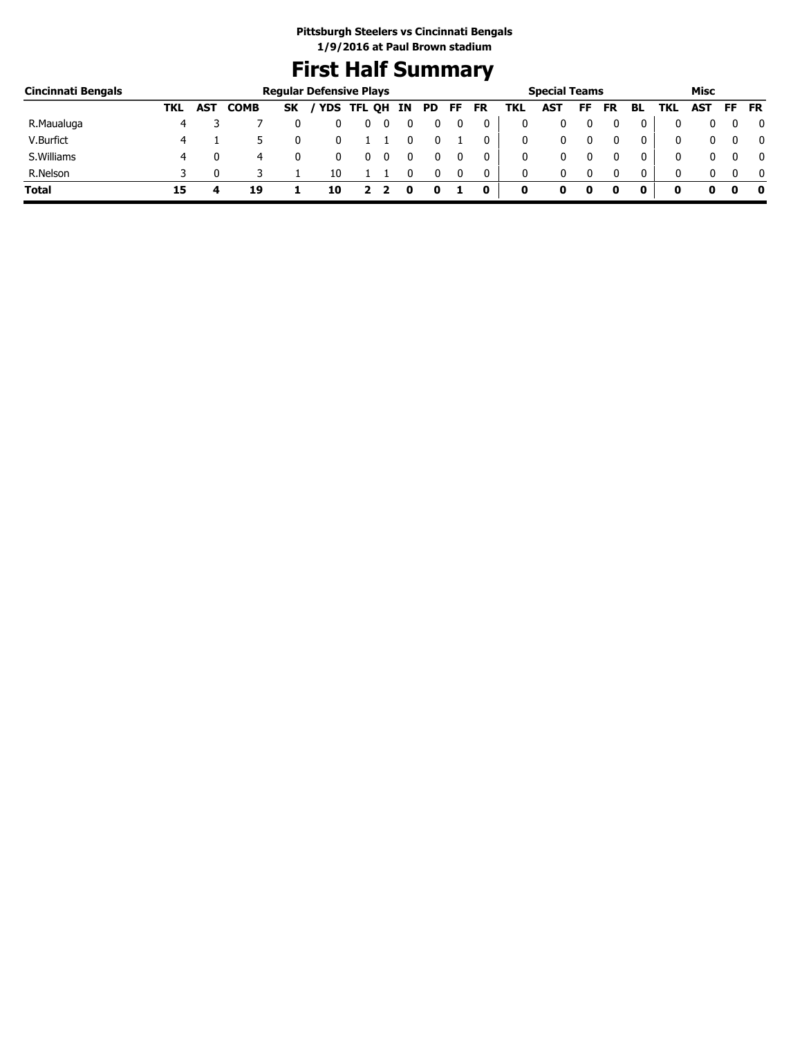## **First Half Summary**

| Cincinnati Bengals |     |     |             | <b>Regular Defensive Plays</b> |            |        |    |     |    |    |     | <b>Special Teams</b> |    |    |              |     | Misc       |    |           |
|--------------------|-----|-----|-------------|--------------------------------|------------|--------|----|-----|----|----|-----|----------------------|----|----|--------------|-----|------------|----|-----------|
|                    | TKL | AST | <b>COMB</b> | <b>SK</b>                      | <b>YDS</b> | TFL QH | ΙN | PD. | FF | FR | TKL | <b>AST</b>           | FF | FR | BL           | TKL | <b>AST</b> | FF | <b>FR</b> |
| R.Maualuga         | 4   |     |             |                                |            | υ      |    |     |    |    |     |                      |    |    |              |     |            |    | 0         |
| V.Burfict          | 4   |     |             |                                |            |        |    |     |    |    |     |                      |    |    |              |     |            |    | 0         |
| S. Williams        | 4   |     | 4           |                                |            |        |    |     |    |    |     |                      |    |    |              | 0   |            |    | 0         |
| R.Nelson           |     |     |             |                                | 10         |        |    |     |    |    |     |                      |    |    | $\mathbf{0}$ |     |            |    | 0         |
| <b>Total</b>       | 15  |     | 19          |                                | 10         |        |    |     |    | 0  | 0   |                      | 0  |    |              |     |            |    | - 0       |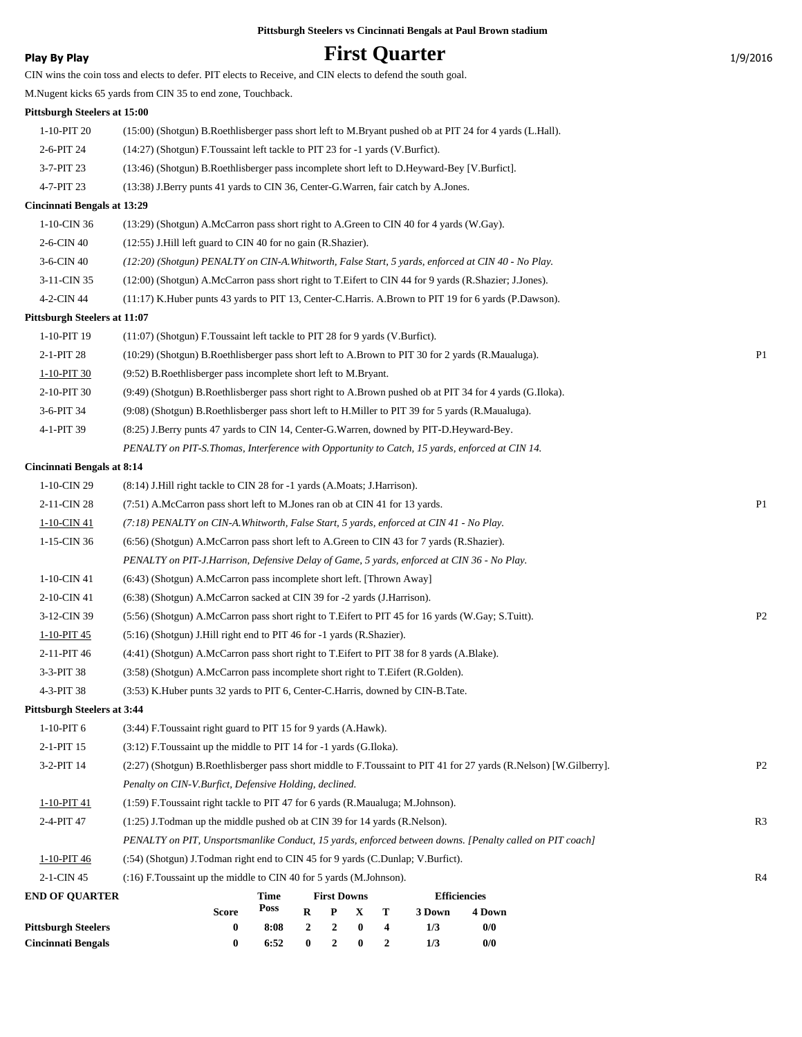## **Play By Play Play Play Play By Play First Quarter** 1/9/2016

| <b>END OF QUARTER</b>              | <b>First Downs</b><br><b>Efficiencies</b><br>Time<br>Poss<br><b>Score</b><br>R<br>P<br>X<br>Т<br>3 Down<br>4 Down  |                |
|------------------------------------|--------------------------------------------------------------------------------------------------------------------|----------------|
| 2-1-CIN 45                         | (:16) F. Toussaint up the middle to CIN 40 for 5 yards (M.Johnson).                                                | R4             |
| 1-10-PIT 46                        | (:54) (Shotgun) J.Todman right end to CIN 45 for 9 yards (C.Dunlap; V.Burfict).                                    |                |
|                                    | PENALTY on PIT, Unsportsmanlike Conduct, 15 yards, enforced between downs. [Penalty called on PIT coach]           |                |
| 2-4-PIT 47                         | $(1:25)$ J.Todman up the middle pushed ob at CIN 39 for 14 yards (R.Nelson).                                       | R <sub>3</sub> |
| 1-10-PIT 41                        | (1:59) F.Toussaint right tackle to PIT 47 for 6 yards (R.Maualuga; M.Johnson).                                     |                |
|                                    | Penalty on CIN-V.Burfict, Defensive Holding, declined.                                                             |                |
| 3-2-PIT 14                         | (2:27) (Shotgun) B.Roethlisberger pass short middle to F.Toussaint to PIT 41 for 27 yards (R.Nelson) [W.Gilberry]. | P <sub>2</sub> |
| 2-1-PIT 15                         | (3:12) F.Toussaint up the middle to PIT 14 for -1 yards (G.Iloka).                                                 |                |
| $1-10-PIT6$                        | (3:44) F.Toussaint right guard to PIT 15 for 9 yards (A.Hawk).                                                     |                |
|                                    |                                                                                                                    |                |
| <b>Pittsburgh Steelers at 3:44</b> | (3:53) K. Huber punts 32 yards to PIT 6, Center-C. Harris, downed by CIN-B. Tate.                                  |                |
| 4-3-PIT 38                         |                                                                                                                    |                |
| 3-3-PIT 38                         | (3:58) (Shotgun) A.McCarron pass incomplete short right to T.Eifert (R.Golden).                                    |                |
| 2-11-PIT 46                        | (4:41) (Shotgun) A.McCarron pass short right to T.Eifert to PIT 38 for 8 yards (A.Blake).                          |                |
| 1-10-PIT 45                        | (5:16) (Shotgun) J. Hill right end to PIT 46 for -1 yards (R. Shazier).                                            |                |
| 3-12-CIN 39                        | (5:56) (Shotgun) A.McCarron pass short right to T.Eifert to PIT 45 for 16 yards (W.Gay; S.Tuitt).                  | P <sub>2</sub> |
| 2-10-CIN 41                        | (6:38) (Shotgun) A.McCarron sacked at CIN 39 for -2 yards (J.Harrison).                                            |                |
| 1-10-CIN 41                        | (6:43) (Shotgun) A.McCarron pass incomplete short left. [Thrown Away]                                              |                |
|                                    | PENALTY on PIT-J.Harrison, Defensive Delay of Game, 5 yards, enforced at CIN 36 - No Play.                         |                |
| 1-15-CIN 36                        | (6.56) (Shotgun) A.McCarron pass short left to A.Green to CIN 43 for 7 yards (R.Shazier).                          |                |
| 1-10-CIN 41                        | (7:18) PENALTY on CIN-A. Whitworth, False Start, 5 yards, enforced at CIN 41 - No Play.                            |                |
| 2-11-CIN 28                        | (7.51) A.McCarron pass short left to M.Jones ran ob at CIN 41 for 13 yards.                                        | P1             |
| 1-10-CIN 29                        | (8:14) J. Hill right tackle to CIN 28 for -1 yards (A. Moats; J. Harrison).                                        |                |
| <b>Cincinnati Bengals at 8:14</b>  |                                                                                                                    |                |
|                                    | PENALTY on PIT-S. Thomas, Interference with Opportunity to Catch, 15 yards, enforced at CIN 14.                    |                |
| 4-1-PIT 39                         | (8:25) J.Berry punts 47 yards to CIN 14, Center-G.Warren, downed by PIT-D.Heyward-Bey.                             |                |
| 3-6-PIT 34                         | (9:08) (Shotgun) B.Roethlisberger pass short left to H.Miller to PIT 39 for 5 yards (R.Maualuga).                  |                |
| 2-10-PIT 30                        | (9:49) (Shotgun) B.Roethlisberger pass short right to A.Brown pushed ob at PIT 34 for 4 yards (G.Iloka).           |                |
| 1-10-PIT 30                        | (9:52) B.Roethlisberger pass incomplete short left to M.Bryant.                                                    |                |
| 2-1-PIT 28                         | (10:29) (Shotgun) B.Roethlisberger pass short left to A.Brown to PIT 30 for 2 yards (R.Maualuga).                  | P1             |
| 1-10-PIT 19                        | $(11:07)$ (Shotgun) F. Toussaint left tackle to PIT 28 for 9 yards (V. Burfict).                                   |                |
| Pittsburgh Steelers at 11:07       |                                                                                                                    |                |
| 4-2-CIN 44                         | (11:17) K.Huber punts 43 yards to PIT 13, Center-C.Harris. A.Brown to PIT 19 for 6 yards (P.Dawson).               |                |
| 3-11-CIN 35                        | (12:00) (Shotgun) A.McCarron pass short right to T.Eifert to CIN 44 for 9 yards (R.Shazier; J.Jones).              |                |
| 3-6-CIN 40                         | (12:20) (Shotgun) PENALTY on CIN-A. Whitworth, False Start, 5 yards, enforced at CIN 40 - No Play.                 |                |
| 2-6-CIN 40                         | (12:55) J.Hill left guard to CIN 40 for no gain (R.Shazier).                                                       |                |
| 1-10-CIN 36                        | (13:29) (Shotgun) A.McCarron pass short right to A.Green to CIN 40 for 4 yards (W.Gay).                            |                |
| <b>Cincinnati Bengals at 13:29</b> |                                                                                                                    |                |
| 4-7-PIT 23                         | (13:38) J.Berry punts 41 yards to CIN 36, Center-G.Warren, fair catch by A.Jones.                                  |                |
| 3-7-PIT 23                         | (13:46) (Shotgun) B.Roethlisberger pass incomplete short left to D.Heyward-Bey [V.Burfict].                        |                |
| 2-6-PIT 24                         | (14:27) (Shotgun) F.Toussaint left tackle to PIT 23 for -1 yards (V.Burfict).                                      |                |
| 1-10-PIT 20                        | (15:00) (Shotgun) B.Roethlisberger pass short left to M.Bryant pushed ob at PIT 24 for 4 yards (L.Hall).           |                |
| Pittsburgh Steelers at 15:00       |                                                                                                                    |                |
|                                    | M. Nugent kicks 65 yards from CIN 35 to end zone, Touchback.                                                       |                |
|                                    | CIN wins the coin toss and elects to defer. PIT elects to Receive, and CIN elects to defend the south goal.        |                |

**Pittsburgh Steelers 0 8:08 2 2 0 4 1/3 0/0 Cincinnati Bengals 0 6:52 0 2 0 2 1/3 0/0**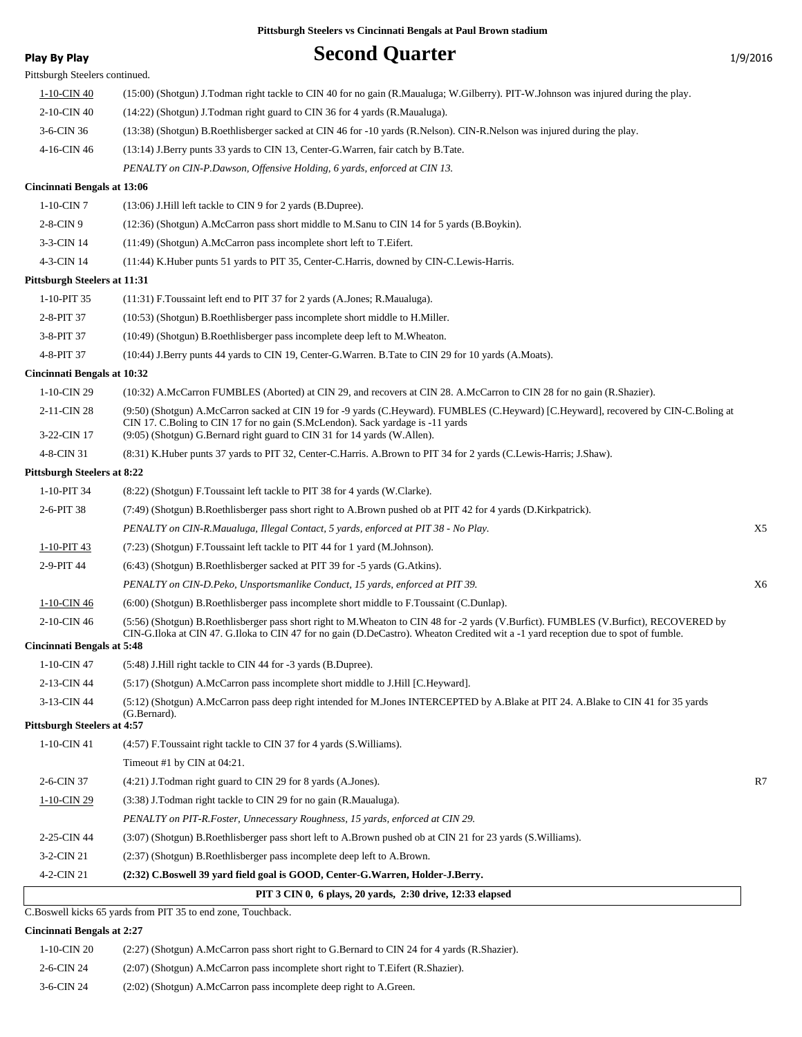## **Play By Play Play Play Second Quarter** 1/9/2016 Pittsburgh Steelers continued. 1-10-CIN 40 (15:00) (Shotgun) J.Todman right tackle to CIN 40 for no gain (R.Maualuga; W.Gilberry). PIT-W.Johnson was injured during the play. 2-10-CIN 40 (14:22) (Shotgun) J.Todman right guard to CIN 36 for 4 yards (R.Maualuga). 3-6-CIN 36 (13:38) (Shotgun) B.Roethlisberger sacked at CIN 46 for -10 yards (R.Nelson). CIN-R.Nelson was injured during the play. 4-16-CIN 46 (13:14) J.Berry punts 33 yards to CIN 13, Center-G.Warren, fair catch by B.Tate. *PENALTY on CIN-P.Dawson, Offensive Holding, 6 yards, enforced at CIN 13.* **Cincinnati Bengals at 13:06** 1-10-CIN 7 (13:06) J.Hill left tackle to CIN 9 for 2 yards (B.Dupree). 2-8-CIN 9 (12:36) (Shotgun) A.McCarron pass short middle to M.Sanu to CIN 14 for 5 yards (B.Boykin). 3-3-CIN 14 (11:49) (Shotgun) A.McCarron pass incomplete short left to T.Eifert. 4-3-CIN 14 (11:44) K.Huber punts 51 yards to PIT 35, Center-C.Harris, downed by CIN-C.Lewis-Harris. **Pittsburgh Steelers at 11:31** 1-10-PIT 35 (11:31) F.Toussaint left end to PIT 37 for 2 yards (A.Jones; R.Maualuga). 2-8-PIT 37 (10:53) (Shotgun) B.Roethlisberger pass incomplete short middle to H.Miller. 3-8-PIT 37 (10:49) (Shotgun) B.Roethlisberger pass incomplete deep left to M.Wheaton. 4-8-PIT 37 (10:44) J.Berry punts 44 yards to CIN 19, Center-G.Warren. B.Tate to CIN 29 for 10 yards (A.Moats). **Cincinnati Bengals at 10:32** 1-10-CIN 29 (10:32) A.McCarron FUMBLES (Aborted) at CIN 29, and recovers at CIN 28. A.McCarron to CIN 28 for no gain (R.Shazier). (9:50) (Shotgun) A.McCarron sacked at CIN 19 for -9 yards (C.Heyward). FUMBLES (C.Heyward) [C.Heyward], recovered by CIN-C.Boling at CIN 17. C.Boling to CIN 17 for no gain (S.McLendon). Sack yardage is -11 yards 2-11-CIN 28 3-22-CIN 17 (9:05) (Shotgun) G.Bernard right guard to CIN 31 for 14 yards (W.Allen). 4-8-CIN 31 (8:31) K.Huber punts 37 yards to PIT 32, Center-C.Harris. A.Brown to PIT 34 for 2 yards (C.Lewis-Harris; J.Shaw). **Pittsburgh Steelers at 8:22** 1-10-PIT 34 (8:22) (Shotgun) F.Toussaint left tackle to PIT 38 for 4 yards (W.Clarke). 2-6-PIT 38 (7:49) (Shotgun) B.Roethlisberger pass short right to A.Brown pushed ob at PIT 42 for 4 yards (D.Kirkpatrick). *PENALTY on CIN-R.Maualuga, Illegal Contact, 5 yards, enforced at PIT 38 - No Play.* X5 1-10-PIT 43 (7:23) (Shotgun) F.Toussaint left tackle to PIT 44 for 1 yard (M.Johnson). 2-9-PIT 44 (6:43) (Shotgun) B.Roethlisberger sacked at PIT 39 for -5 yards (G.Atkins). *PENALTY on CIN-D.Peko, Unsportsmanlike Conduct, 15 yards, enforced at PIT 39.* X6 1-10-CIN 46 (6:00) (Shotgun) B.Roethlisberger pass incomplete short middle to F.Toussaint (C.Dunlap). (5:56) (Shotgun) B.Roethlisberger pass short right to M.Wheaton to CIN 48 for -2 yards (V.Burfict). FUMBLES (V.Burfict), RECOVERED by CIN-G.Iloka at CIN 47. G.Iloka to CIN 47 for no gain (D.DeCastro). Wheaton Credited wit a -1 yard reception due to spot of fumble. 2-10-CIN 46 **Cincinnati Bengals at 5:48** 1-10-CIN 47 (5:48) J.Hill right tackle to CIN 44 for -3 yards (B.Dupree). 2-13-CIN 44 (5:17) (Shotgun) A.McCarron pass incomplete short middle to J.Hill [C.Heyward]. (5:12) (Shotgun) A.McCarron pass deep right intended for M.Jones INTERCEPTED by A.Blake at PIT 24. A.Blake to CIN 41 for 35 yards (G.Bernard). 3-13-CIN 44 **Pittsburgh Steelers at 4:57** 1-10-CIN 41 (4:57) F.Toussaint right tackle to CIN 37 for 4 yards (S.Williams). Timeout #1 by CIN at 04:21. 2-6-CIN 37 (4:21) J.Todman right guard to CIN 29 for 8 yards (A.Jones). R7 1-10-CIN 29 (3:38) J.Todman right tackle to CIN 29 for no gain (R.Maualuga). *PENALTY on PIT-R.Foster, Unnecessary Roughness, 15 yards, enforced at CIN 29.* 2-25-CIN 44 (3:07) (Shotgun) B.Roethlisberger pass short left to A.Brown pushed ob at CIN 21 for 23 yards (S.Williams). 3-2-CIN 21 (2:37) (Shotgun) B.Roethlisberger pass incomplete deep left to A.Brown. 4-2-CIN 21 **(2:32) C.Boswell 39 yard field goal is GOOD, Center-G.Warren, Holder-J.Berry. PIT 3 CIN 0, 6 plays, 20 yards, 2:30 drive, 12:33 elapsed**

C.Boswell kicks 65 yards from PIT 35 to end zone, Touchback.

### **Cincinnati Bengals at 2:27**

| 1-10-CIN 20   | $(2.27)$ (Shotgun) A.McCarron pass short right to G.Bernard to CIN 24 for 4 yards (R.Shazier). |
|---------------|------------------------------------------------------------------------------------------------|
| 2-6-CIN 24    | $(2.07)$ (Shotgun) A.McCarron pass incomplete short right to T. Eifert (R. Shazier).           |
| $3-6$ -CIN 24 | (2:02) (Shotgun) A.McCarron pass incomplete deep right to A.Green.                             |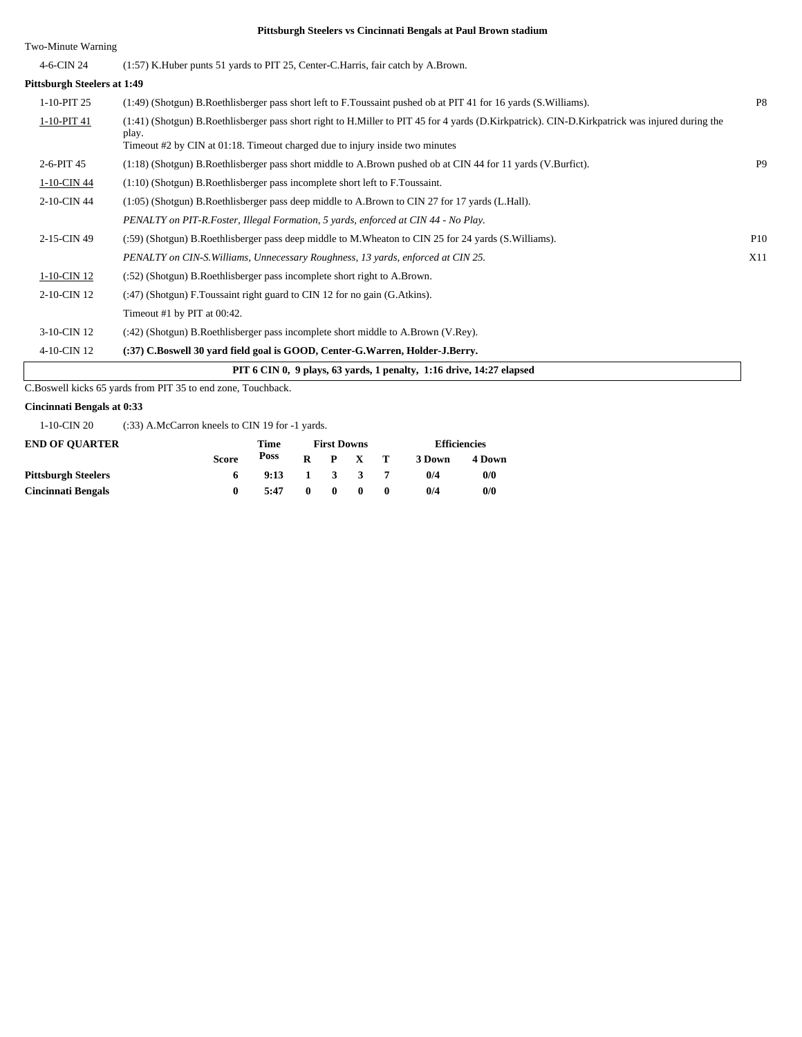Two-Minute Warning

| 4-6-CIN 24                         | (1:57) K. Huber punts 51 yards to PIT 25, Center-C. Harris, fair catch by A. Brown.                                                                     |                 |
|------------------------------------|---------------------------------------------------------------------------------------------------------------------------------------------------------|-----------------|
| <b>Pittsburgh Steelers at 1:49</b> |                                                                                                                                                         |                 |
| 1-10-PIT 25                        | (1:49) (Shotgun) B.Roethlisberger pass short left to F.Toussaint pushed ob at PIT 41 for 16 yards (S.Williams).                                         | P <sub>8</sub>  |
| 1-10-PIT 41                        | (1:41) (Shotgun) B.Roethlisberger pass short right to H.Miller to PIT 45 for 4 yards (D.Kirkpatrick). CIN-D.Kirkpatrick was injured during the<br>play. |                 |
|                                    | Timeout #2 by CIN at 01:18. Timeout charged due to injury inside two minutes                                                                            |                 |
| 2-6-PIT 45                         | (1:18) (Shotgun) B.Roethlisberger pass short middle to A.Brown pushed ob at CIN 44 for 11 yards (V.Burfict).                                            | P <sub>9</sub>  |
| 1-10-CIN 44                        | $(1:10)$ (Shotgun) B.Roethlisberger pass incomplete short left to F.Toussaint.                                                                          |                 |
| 2-10-CIN 44                        | (1:05) (Shotgun) B.Roethlisberger pass deep middle to A.Brown to CIN 27 for 17 yards (L.Hall).                                                          |                 |
|                                    | PENALTY on PIT-R.Foster, Illegal Formation, 5 yards, enforced at CIN 44 - No Play.                                                                      |                 |
| 2-15-CIN 49                        | (:59) (Shotgun) B.Roethlisberger pass deep middle to M.Wheaton to CIN 25 for 24 yards (S.Williams).                                                     | P <sub>10</sub> |
|                                    | PENALTY on CIN-S. Williams, Unnecessary Roughness, 13 yards, enforced at CIN 25.                                                                        | X11             |
| 1-10-CIN 12                        | (:52) (Shotgun) B. Roethlisberger pass incomplete short right to A. Brown.                                                                              |                 |
| 2-10-CIN 12                        | (:47) (Shotgun) F. Toussaint right guard to CIN 12 for no gain (G. Atkins).                                                                             |                 |
|                                    | Timeout #1 by PIT at 00:42.                                                                                                                             |                 |
| 3-10-CIN 12                        | (:42) (Shotgun) B.Roethlisberger pass incomplete short middle to A.Brown (V.Rey).                                                                       |                 |
| 4-10-CIN 12                        | (:37) C.Boswell 30 yard field goal is GOOD, Center-G.Warren, Holder-J.Berry.                                                                            |                 |
|                                    | PIT 6 CIN 0, 9 plays, 63 yards, 1 penalty, 1:16 drive, 14:27 elapsed                                                                                    |                 |

C.Boswell kicks 65 yards from PIT 35 to end zone, Touchback.

### **Cincinnati Bengals at 0:33**

1-10-CIN 20 (:33) A.McCarron kneels to CIN 19 for -1 yards.

| <b>END OF OUARTER</b>      |              | <b>First Downs</b> |              |                     |              | <b>Efficiencies</b> |        |        |
|----------------------------|--------------|--------------------|--------------|---------------------|--------------|---------------------|--------|--------|
|                            | <b>Score</b> | Poss               | R.           |                     | P X T        |                     | 3 Down | 4 Down |
| <b>Pittsburgh Steelers</b> |              | 9:13               |              | $1 \quad 3 \quad 3$ |              |                     | 0/4    | 0/0    |
| <b>Cincinnati Bengals</b>  |              | 5:47               | $\mathbf{0}$ | $\mathbf{0}$        | $\mathbf{u}$ |                     | 0/4    | 0/0    |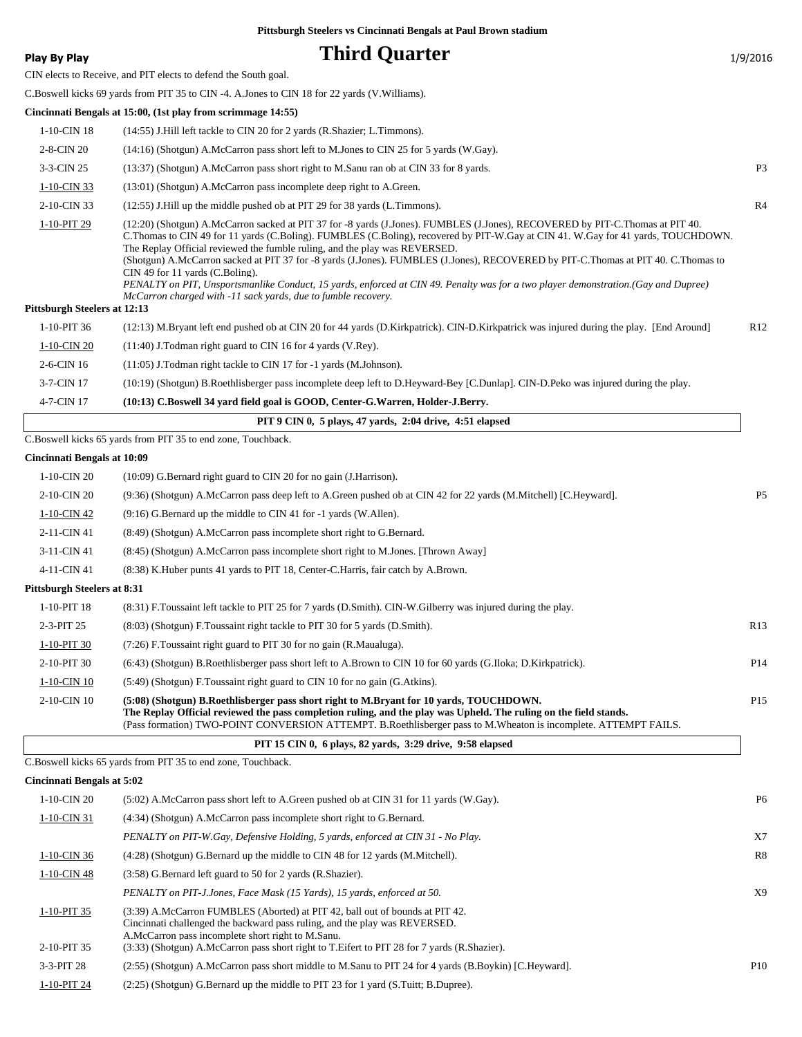## **Play By Play Play Play Play Play By Play Play By Play Play By Play Play Play Play Play Play Play Play Play Play Play Play Play Play Play Play Play Play Play Play Play**

CIN elects to Receive, and PIT elects to defend the South goal.

C.Boswell kicks 69 yards from PIT 35 to CIN -4. A.Jones to CIN 18 for 22 yards (V.Williams).

|                                     | Cincinnati Bengals at 15:00, (1st play from scrimmage 14:55)                                                                                                                                                                                                                                                                                                                                                                                                                                                                                                                                                                                                                                                                        |           |
|-------------------------------------|-------------------------------------------------------------------------------------------------------------------------------------------------------------------------------------------------------------------------------------------------------------------------------------------------------------------------------------------------------------------------------------------------------------------------------------------------------------------------------------------------------------------------------------------------------------------------------------------------------------------------------------------------------------------------------------------------------------------------------------|-----------|
| 1-10-CIN 18                         | (14:55) J.Hill left tackle to CIN 20 for 2 yards (R.Shazier; L.Timmons).                                                                                                                                                                                                                                                                                                                                                                                                                                                                                                                                                                                                                                                            |           |
| 2-8-CIN 20                          | (14:16) (Shotgun) A.McCarron pass short left to M.Jones to CIN 25 for 5 yards (W.Gay).                                                                                                                                                                                                                                                                                                                                                                                                                                                                                                                                                                                                                                              |           |
| 3-3-CIN 25                          | (13:37) (Shotgun) A.McCarron pass short right to M.Sanu ran ob at CIN 33 for 8 yards.                                                                                                                                                                                                                                                                                                                                                                                                                                                                                                                                                                                                                                               | <b>P3</b> |
| 1-10-CIN 33                         | (13:01) (Shotgun) A.McCarron pass incomplete deep right to A.Green.                                                                                                                                                                                                                                                                                                                                                                                                                                                                                                                                                                                                                                                                 |           |
| 2-10-CIN 33                         | (12:55) J. Hill up the middle pushed ob at PIT 29 for 38 yards (L. Timmons).                                                                                                                                                                                                                                                                                                                                                                                                                                                                                                                                                                                                                                                        | R4        |
| 1-10-PIT 29                         | (12:20) (Shotgun) A.McCarron sacked at PIT 37 for -8 yards (J.Jones). FUMBLES (J.Jones), RECOVERED by PIT-C.Thomas at PIT 40.<br>C. Thomas to CIN 49 for 11 yards (C. Boling). FUMBLES (C. Boling), recovered by PIT-W. Gay at CIN 41. W. Gay for 41 yards, TOUCHDOWN.<br>The Replay Official reviewed the fumble ruling, and the play was REVERSED.<br>(Shotgun) A.McCarron sacked at PIT 37 for -8 yards (J.Jones). FUMBLES (J.Jones), RECOVERED by PIT-C.Thomas at PIT 40. C.Thomas to<br>CIN 49 for 11 yards (C.Boling).<br>PENALTY on PIT, Unsportsmanlike Conduct, 15 yards, enforced at CIN 49. Penalty was for a two player demonstration.(Gay and Dupree)<br>McCarron charged with -11 sack vards, due to fumble recovery. |           |
| <b>Pittsburgh Steelers at 12:13</b> |                                                                                                                                                                                                                                                                                                                                                                                                                                                                                                                                                                                                                                                                                                                                     |           |
| 1-10-PIT 36                         | (12:13) M.Bryant left end pushed ob at CIN 20 for 44 yards (D.Kirkpatrick). CIN-D.Kirkpatrick was injured during the play. [End Around]                                                                                                                                                                                                                                                                                                                                                                                                                                                                                                                                                                                             | R12       |
| 1-10-CIN 20                         | (11:40) J.Todman right guard to CIN 16 for 4 yards (V.Rey).                                                                                                                                                                                                                                                                                                                                                                                                                                                                                                                                                                                                                                                                         |           |
| 2-6-CIN 16                          | (11:05) J.Todman right tackle to CIN 17 for -1 yards (M.Johnson).                                                                                                                                                                                                                                                                                                                                                                                                                                                                                                                                                                                                                                                                   |           |
| 3-7-CIN 17                          | (10:19) (Shotgun) B.Roethlisberger pass incomplete deep left to D.Heyward-Bey [C.Dunlap]. CIN-D.Peko was injured during the play.                                                                                                                                                                                                                                                                                                                                                                                                                                                                                                                                                                                                   |           |
| 4-7-CIN 17                          | (10:13) C.Boswell 34 yard field goal is GOOD, Center-G.Warren, Holder-J.Berry.                                                                                                                                                                                                                                                                                                                                                                                                                                                                                                                                                                                                                                                      |           |
|                                     | PIT 9 CIN 0, 5 plays, 47 vards, 2:04 drive, 4:51 elapsed                                                                                                                                                                                                                                                                                                                                                                                                                                                                                                                                                                                                                                                                            |           |
|                                     | C.Boswell kicks 65 yards from PIT 35 to end zone, Touchback.                                                                                                                                                                                                                                                                                                                                                                                                                                                                                                                                                                                                                                                                        |           |
| <b>Cincinnati Bengals at 10:09</b>  |                                                                                                                                                                                                                                                                                                                                                                                                                                                                                                                                                                                                                                                                                                                                     |           |
| 1-10-CIN 20                         | (10:09) G.Bernard right guard to CIN 20 for no gain (J.Harrison).                                                                                                                                                                                                                                                                                                                                                                                                                                                                                                                                                                                                                                                                   |           |
| 2-10-CIN 20                         | (9:36) (Shotgun) A.McCarron pass deep left to A.Green pushed ob at CIN 42 for 22 yards (M.Mitchell) [C.Heyward].                                                                                                                                                                                                                                                                                                                                                                                                                                                                                                                                                                                                                    | <b>P5</b> |
| 1-10-CIN 42                         | (9:16) G.Bernard up the middle to CIN 41 for -1 yards (W.Allen).                                                                                                                                                                                                                                                                                                                                                                                                                                                                                                                                                                                                                                                                    |           |
| 2-11-CIN 41                         | (8:49) (Shotgun) A.McCarron pass incomplete short right to G.Bernard.                                                                                                                                                                                                                                                                                                                                                                                                                                                                                                                                                                                                                                                               |           |
| 3-11-CIN 41                         | (8:45) (Shotgun) A.McCarron pass incomplete short right to M.Jones. [Thrown Away]                                                                                                                                                                                                                                                                                                                                                                                                                                                                                                                                                                                                                                                   |           |
| 4-11-CIN 41                         | (8:38) K. Huber punts 41 yards to PIT 18, Center-C. Harris, fair catch by A. Brown.                                                                                                                                                                                                                                                                                                                                                                                                                                                                                                                                                                                                                                                 |           |
| <b>Pittsburgh Steelers at 8:31</b>  |                                                                                                                                                                                                                                                                                                                                                                                                                                                                                                                                                                                                                                                                                                                                     |           |

| 1-10-PIT 18    | (8:31) F. Toussaint left tackle to PIT 25 for 7 yards (D. Smith). CIN-W. Gilberry was injured during the play.                                                                                                                                                                                                                  |                 |
|----------------|---------------------------------------------------------------------------------------------------------------------------------------------------------------------------------------------------------------------------------------------------------------------------------------------------------------------------------|-----------------|
| $2-3-PIT$ 25   | (8.03) (Shotgun) F. Toussaint right tackle to PIT 30 for 5 yards (D. Smith).                                                                                                                                                                                                                                                    | R13             |
| 1-10-PIT 30    | $(7:26)$ F. Toussaint right guard to PIT 30 for no gain (R. Maualuga).                                                                                                                                                                                                                                                          |                 |
| 2-10-PIT 30    | (6.43) (Shotgun) B.Roethlisberger pass short left to A.Brown to CIN 10 for 60 yards (G.Iloka; D.Kirkpatrick).                                                                                                                                                                                                                   | P <sub>14</sub> |
| 1-10-CIN 10    | $(5:49)$ (Shotgun) F. Toussaint right guard to CIN 10 for no gain (G. Atkins).                                                                                                                                                                                                                                                  |                 |
| $2-10$ -CIN 10 | (5:08) (Shotgun) B.Roethlisberger pass short right to M.Bryant for 10 yards, TOUCHDOWN.<br>The Replay Official reviewed the pass completion ruling, and the play was Upheld. The ruling on the field stands.<br>(Pass formation) TWO-POINT CONVERSION ATTEMPT. B.Roethlisberger pass to M.Wheaton is incomplete. ATTEMPT FAILS. | P <sub>15</sub> |

|  | PIT 15 CIN 0, 6 plays, 82 yards, 3:29 drive, 9:58 elapsed |  |  |
|--|-----------------------------------------------------------|--|--|
|--|-----------------------------------------------------------|--|--|

C.Boswell kicks 65 yards from PIT 35 to end zone, Touchback.

### **Cincinnati Bengals at 5:02**

| 1-10-CIN 20    | $(5:02)$ A.McCarron pass short left to A.Green pushed ob at CIN 31 for 11 yards (W.Gay).                                                                                                                        | P <sub>6</sub>  |
|----------------|-----------------------------------------------------------------------------------------------------------------------------------------------------------------------------------------------------------------|-----------------|
| $1-10$ -CIN 31 | (4:34) (Shotgun) A.McCarron pass incomplete short right to G.Bernard.                                                                                                                                           |                 |
|                | PENALTY on PIT-W.Gay, Defensive Holding, 5 yards, enforced at CIN 31 - No Play.                                                                                                                                 | X7              |
| 1-10-CIN 36    | (4:28) (Shotgun) G.Bernard up the middle to CIN 48 for 12 yards (M.Mitchell).                                                                                                                                   | R8              |
| $1-10$ -CIN 48 | (3:58) G.Bernard left guard to 50 for 2 yards (R.Shazier).                                                                                                                                                      |                 |
|                | PENALTY on PIT-J.Jones, Face Mask (15 Yards), 15 yards, enforced at 50.                                                                                                                                         | X9              |
| 1-10-PIT 35    | (3:39) A.McCarron FUMBLES (Aborted) at PIT 42, ball out of bounds at PIT 42.<br>Cincinnati challenged the backward pass ruling, and the play was REVERSED.<br>A.McCarron pass incomplete short right to M.Sanu. |                 |
| 2-10-PIT 35    | (3:33) (Shotgun) A.McCarron pass short right to T.Eifert to PIT 28 for 7 yards (R.Shazier).                                                                                                                     |                 |
| $3-3-PIT28$    | (2:55) (Shotgun) A.McCarron pass short middle to M.Sanu to PIT 24 for 4 yards (B.Boykin) [C.Heyward].                                                                                                           | P <sub>10</sub> |
| 1-10-PIT 24    | (2:25) (Shotgun) G.Bernard up the middle to PIT 23 for 1 yard (S.Tuitt; B.Dupree).                                                                                                                              |                 |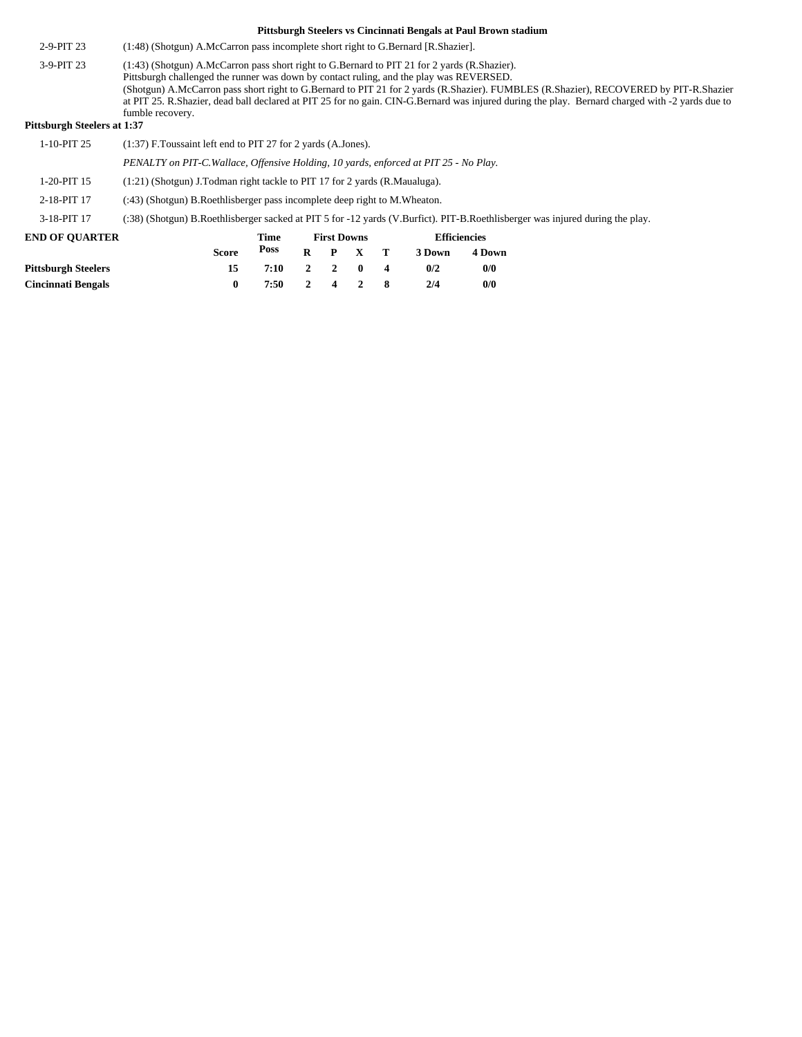- 2-9-PIT 23 (1:48) (Shotgun) A.McCarron pass incomplete short right to G.Bernard [R.Shazier].
- (1:43) (Shotgun) A.McCarron pass short right to G.Bernard to PIT 21 for 2 yards (R.Shazier). Pittsburgh challenged the runner was down by contact ruling, and the play was REVERSED. (Shotgun) A.McCarron pass short right to G.Bernard to PIT 21 for 2 yards (R.Shazier). FUMBLES (R.Shazier), RECOVERED by PIT-R.Shazier at PIT 25. R.Shazier, dead ball declared at PIT 25 for no gain. CIN-G.Bernard was injured during the play. Bernard charged with -2 yards due to fumble recovery. 3-9-PIT 23

### **Pittsburgh Steelers at 1:37**

| 1-10-PIT 25                | $(1:37)$ F. Toussaint left end to PIT 27 for 2 yards $(A.Jones)$ .                                                            |              |      |   |                    |              |                         |                     |        |  |  |
|----------------------------|-------------------------------------------------------------------------------------------------------------------------------|--------------|------|---|--------------------|--------------|-------------------------|---------------------|--------|--|--|
|                            | PENALTY on PIT-C. Wallace, Offensive Holding, 10 yards, enforced at PIT 25 - No Play.                                         |              |      |   |                    |              |                         |                     |        |  |  |
| 1-20-PIT 15                | $(1:21)$ (Shotgun) J.Todman right tackle to PIT 17 for 2 yards (R.Maualuga).                                                  |              |      |   |                    |              |                         |                     |        |  |  |
| 2-18-PIT 17                | $(2.43)$ (Shotgun) B. Roethlisberger pass incomplete deep right to M. Wheaton.                                                |              |      |   |                    |              |                         |                     |        |  |  |
| 3-18-PIT 17                | (:38) (Shotgun) B.Roethlisberger sacked at PIT 5 for -12 yards (V.Burfict). PIT-B.Roethlisberger was injured during the play. |              |      |   |                    |              |                         |                     |        |  |  |
| <b>END OF OUARTER</b>      |                                                                                                                               |              | Time |   | <b>First Downs</b> |              |                         | <b>Efficiencies</b> |        |  |  |
|                            |                                                                                                                               | <b>Score</b> | Poss | R | P                  | $\mathbf{x}$ | T                       | 3 Down              | 4 Down |  |  |
| <b>Pittsburgh Steelers</b> |                                                                                                                               | 15           | 7:10 | 2 | $\mathbf{2}$       | $\mathbf{0}$ | $\overline{\mathbf{4}}$ | 0/2                 | 0/0    |  |  |
| <b>Cincinnati Bengals</b>  |                                                                                                                               | $\bf{0}$     | 7:50 | 2 | 4                  |              | 8                       | 2/4                 | 0/0    |  |  |
|                            |                                                                                                                               |              |      |   |                    |              |                         |                     |        |  |  |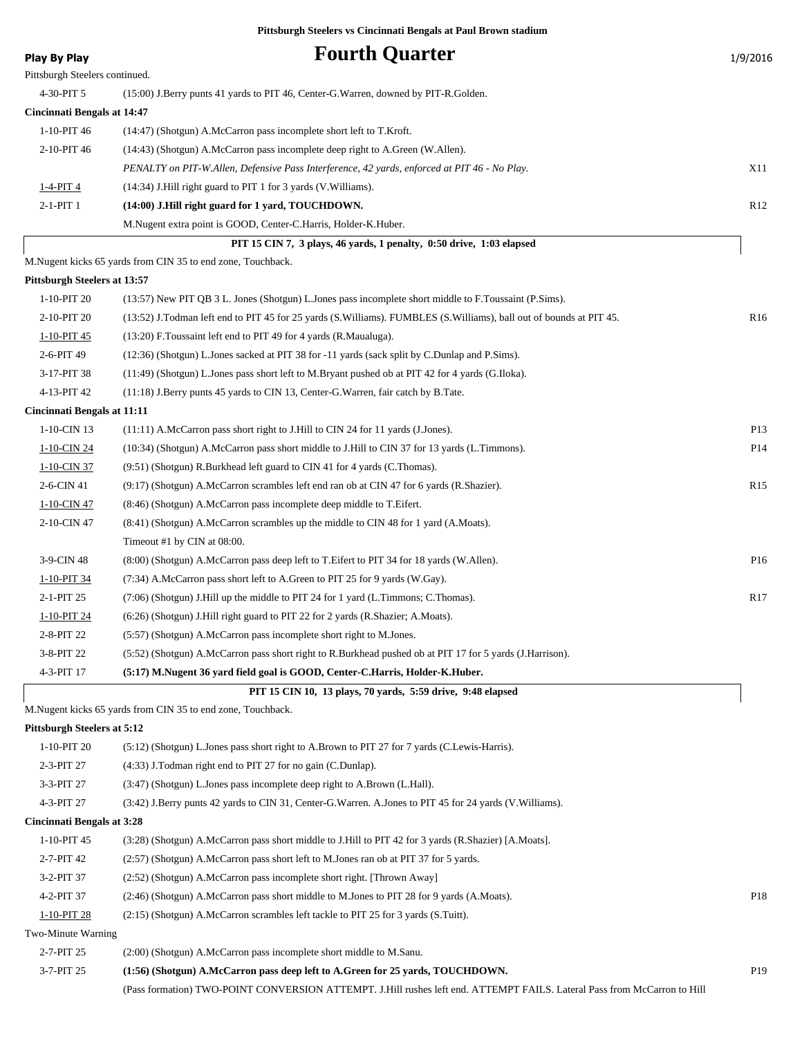| <b>Play By Play</b>                 | <b>Fourth Quarter</b>                                                                                              | 1/9/2016        |
|-------------------------------------|--------------------------------------------------------------------------------------------------------------------|-----------------|
| Pittsburgh Steelers continued.      |                                                                                                                    |                 |
| 4-30-PIT 5                          | (15:00) J.Berry punts 41 yards to PIT 46, Center-G.Warren, downed by PIT-R.Golden.                                 |                 |
| <b>Cincinnati Bengals at 14:47</b>  |                                                                                                                    |                 |
| 1-10-PIT 46                         | (14:47) (Shotgun) A.McCarron pass incomplete short left to T.Kroft.                                                |                 |
| 2-10-PIT 46                         | (14:43) (Shotgun) A.McCarron pass incomplete deep right to A.Green (W.Allen).                                      |                 |
|                                     | PENALTY on PIT-W.Allen, Defensive Pass Interference, 42 yards, enforced at PIT 46 - No Play.                       | X11             |
| 1-4-PIT 4                           | $(14:34)$ J.Hill right guard to PIT 1 for 3 yards (V.Williams).                                                    |                 |
| $2-1-PIT1$                          | (14:00) J.Hill right guard for 1 yard, TOUCHDOWN.                                                                  | R12             |
|                                     | M. Nugent extra point is GOOD, Center-C. Harris, Holder-K. Huber.                                                  |                 |
|                                     | PIT 15 CIN 7, 3 plays, 46 yards, 1 penalty, 0:50 drive, 1:03 elapsed                                               |                 |
|                                     | M.Nugent kicks 65 yards from CIN 35 to end zone, Touchback.                                                        |                 |
| <b>Pittsburgh Steelers at 13:57</b> |                                                                                                                    |                 |
| 1-10-PIT 20                         | (13:57) New PIT QB 3 L. Jones (Shotgun) L. Jones pass incomplete short middle to F. Toussaint (P. Sims).           |                 |
| 2-10-PIT 20                         | (13:52) J.Todman left end to PIT 45 for 25 yards (S.Williams). FUMBLES (S.Williams), ball out of bounds at PIT 45. | R <sub>16</sub> |
| 1-10-PIT 45                         | (13:20) F. Toussaint left end to PIT 49 for 4 yards (R. Maualuga).                                                 |                 |
| 2-6-PIT 49                          | (12:36) (Shotgun) L.Jones sacked at PIT 38 for -11 yards (sack split by C.Dunlap and P.Sims).                      |                 |
| 3-17-PIT 38                         | $(11:49)$ (Shotgun) L. Jones pass short left to M. Bryant pushed ob at PIT 42 for 4 yards (G. Iloka).              |                 |
| 4-13-PIT 42                         | (11:18) J.Berry punts 45 yards to CIN 13, Center-G.Warren, fair catch by B.Tate.                                   |                 |
| <b>Cincinnati Bengals at 11:11</b>  |                                                                                                                    |                 |
| 1-10-CIN 13                         | $(11:11)$ A.McCarron pass short right to J.Hill to CIN 24 for 11 yards (J.Jones).                                  | P <sub>13</sub> |
| 1-10-CIN 24                         | (10:34) (Shotgun) A.McCarron pass short middle to J.Hill to CIN 37 for 13 yards (L.Timmons).                       | P <sub>14</sub> |
| 1-10-CIN 37                         | (9:51) (Shotgun) R.Burkhead left guard to CIN 41 for 4 yards (C.Thomas).                                           |                 |
| 2-6-CIN 41                          | (9:17) (Shotgun) A.McCarron scrambles left end ran ob at CIN 47 for 6 yards (R.Shazier).                           | R15             |
| 1-10-CIN 47                         | (8:46) (Shotgun) A.McCarron pass incomplete deep middle to T.Eifert.                                               |                 |
| 2-10-CIN 47                         | (8:41) (Shotgun) A.McCarron scrambles up the middle to CIN 48 for 1 yard (A.Moats).                                |                 |
|                                     | Timeout #1 by CIN at 08:00.                                                                                        |                 |
| 3-9-CIN 48                          | (8:00) (Shotgun) A.McCarron pass deep left to T.Eifert to PIT 34 for 18 yards (W.Allen).                           | P <sub>16</sub> |
| 1-10-PIT 34                         | (7:34) A.McCarron pass short left to A.Green to PIT 25 for 9 yards (W.Gay).                                        |                 |
| 2-1-PIT 25                          | (7:06) (Shotgun) J.Hill up the middle to PIT 24 for 1 yard (L.Timmons; C.Thomas).                                  | R <sub>17</sub> |
| $1-10-PIT$ 24                       | (6.26) (Shotgun) J.Hill right guard to PIT 22 for 2 yards (R.Shazier; A.Moats).                                    |                 |
| 2-8-PIT 22                          | (5:57) (Shotgun) A.McCarron pass incomplete short right to M.Jones.                                                |                 |
| 3-8-PIT 22                          | (5:52) (Shotgun) A.McCarron pass short right to R.Burkhead pushed ob at PIT 17 for 5 yards (J.Harrison).           |                 |
| 4-3-PIT 17                          | (5:17) M.Nugent 36 yard field goal is GOOD, Center-C.Harris, Holder-K.Huber.                                       |                 |
|                                     | PIT 15 CIN 10, 13 plays, 70 yards, 5:59 drive, 9:48 elapsed                                                        |                 |
|                                     | M.Nugent kicks 65 yards from CIN 35 to end zone, Touchback.                                                        |                 |
| <b>Pittsburgh Steelers at 5:12</b>  |                                                                                                                    |                 |
| 1-10-PIT 20                         | (5.12) (Shotgun) L.Jones pass short right to A.Brown to PIT 27 for 7 yards (C.Lewis-Harris).                       |                 |
| 2-3-PIT 27                          | (4:33) J.Todman right end to PIT 27 for no gain (C.Dunlap).                                                        |                 |
| 3-3-PIT 27                          | (3:47) (Shotgun) L.Jones pass incomplete deep right to A.Brown (L.Hall).                                           |                 |
| 4-3-PIT 27                          | (3:42) J.Berry punts 42 yards to CIN 31, Center-G.Warren. A.Jones to PIT 45 for 24 yards (V.Williams).             |                 |
| <b>Cincinnati Bengals at 3:28</b>   |                                                                                                                    |                 |
| 1-10-PIT $45\,$                     | (3:28) (Shotgun) A.McCarron pass short middle to J.Hill to PIT 42 for 3 yards (R.Shazier) [A.Moats].               |                 |
| 2-7-PIT 42                          | (2:57) (Shotgun) A.McCarron pass short left to M.Jones ran ob at PIT 37 for 5 yards.                               |                 |
| 3-2-PIT 37                          | (2:52) (Shotgun) A.McCarron pass incomplete short right. [Thrown Away]                                             |                 |
| 4-2-PIT 37                          | (2:46) (Shotgun) A.McCarron pass short middle to M.Jones to PIT 28 for 9 yards (A.Moats).                          | P18             |
| 1-10-PIT 28                         | $(2:15)$ (Shotgun) A.McCarron scrambles left tackle to PIT 25 for 3 yards (S.Tuitt).                               |                 |
| Two-Minute Warning                  |                                                                                                                    |                 |
| 2-7-PIT 25                          | (2:00) (Shotgun) A.McCarron pass incomplete short middle to M.Sanu.                                                |                 |
| 3-7-PIT 25                          | (1:56) (Shotgun) A.McCarron pass deep left to A.Green for 25 yards, TOUCHDOWN.                                     | P <sub>19</sub> |

(Pass formation) TWO-POINT CONVERSION ATTEMPT. J.Hill rushes left end. ATTEMPT FAILS. Lateral Pass from McCarron to Hill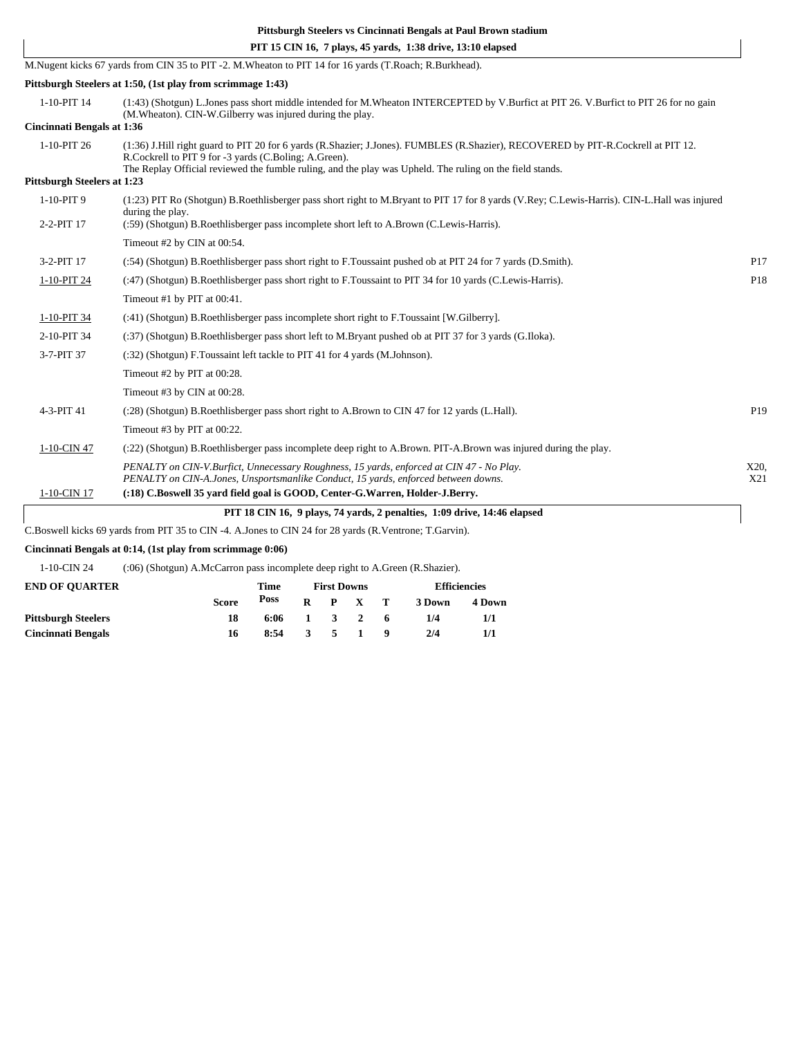|                                    | PIT 15 CIN 16, 7 plays, 45 yards, 1:38 drive, 13:10 elapsed                                                                                                                                         |                 |
|------------------------------------|-----------------------------------------------------------------------------------------------------------------------------------------------------------------------------------------------------|-----------------|
|                                    | M.Nugent kicks 67 yards from CIN 35 to PIT -2. M.Wheaton to PIT 14 for 16 yards (T.Roach; R.Burkhead).                                                                                              |                 |
|                                    | Pittsburgh Steelers at 1:50, (1st play from scrimmage 1:43)                                                                                                                                         |                 |
| 1-10-PIT 14                        | (1:43) (Shotgun) L.Jones pass short middle intended for M.Wheaton INTERCEPTED by V.Burfict at PIT 26. V.Burfict to PIT 26 for no gain<br>(M. Wheaton). CIN-W. Gilberry was injured during the play. |                 |
| Cincinnati Bengals at 1:36         |                                                                                                                                                                                                     |                 |
| 1-10-PIT 26                        | (1:36) J.Hill right guard to PIT 20 for 6 yards (R.Shazier; J.Jones). FUMBLES (R.Shazier), RECOVERED by PIT-R.Cockrell at PIT 12.<br>R.Cockrell to PIT 9 for -3 yards (C.Boling; A.Green).          |                 |
| <b>Pittsburgh Steelers at 1:23</b> | The Replay Official reviewed the fumble ruling, and the play was Upheld. The ruling on the field stands.                                                                                            |                 |
| 1-10-PIT 9                         | (1:23) PIT Ro (Shotgun) B.Roethlisberger pass short right to M.Bryant to PIT 17 for 8 yards (V.Rey; C.Lewis-Harris). CIN-L.Hall was injured<br>during the play.                                     |                 |
| 2-2-PIT 17                         | (:59) (Shotgun) B.Roethlisberger pass incomplete short left to A.Brown (C.Lewis-Harris).                                                                                                            |                 |
|                                    | Timeout #2 by CIN at 00:54.                                                                                                                                                                         |                 |
| 3-2-PIT 17                         | (:54) (Shotgun) B.Roethlisberger pass short right to F.Toussaint pushed ob at PIT 24 for 7 yards (D.Smith).                                                                                         | P17             |
| 1-10-PIT 24                        | (:47) (Shotgun) B.Roethlisberger pass short right to F.Toussaint to PIT 34 for 10 yards (C.Lewis-Harris).                                                                                           | P18             |
|                                    | Timeout #1 by PIT at 00:41.                                                                                                                                                                         |                 |
| 1-10-PIT 34                        | (:41) (Shotgun) B.Roethlisberger pass incomplete short right to F.Toussaint [W.Gilberry].                                                                                                           |                 |
| 2-10-PIT 34                        | (:37) (Shotgun) B.Roethlisberger pass short left to M.Bryant pushed ob at PIT 37 for 3 yards (G.Iloka).                                                                                             |                 |
| 3-7-PIT 37                         | (:32) (Shotgun) F.Toussaint left tackle to PIT 41 for 4 yards (M.Johnson).                                                                                                                          |                 |
|                                    | Timeout #2 by PIT at 00:28.                                                                                                                                                                         |                 |
|                                    | Timeout #3 by CIN at 00:28.                                                                                                                                                                         |                 |
| 4-3-PIT 41                         | (:28) (Shotgun) B.Roethlisberger pass short right to A.Brown to CIN 47 for 12 yards (L.Hall).                                                                                                       | P <sub>19</sub> |
|                                    | Timeout #3 by PIT at 00:22.                                                                                                                                                                         |                 |
| 1-10-CIN 47                        | (:22) (Shotgun) B.Roethlisberger pass incomplete deep right to A.Brown. PIT-A.Brown was injured during the play.                                                                                    |                 |
|                                    | PENALTY on CIN-V.Burfict, Unnecessary Roughness, 15 yards, enforced at CIN 47 - No Play.<br>PENALTY on CIN-A.Jones, Unsportsmanlike Conduct, 15 yards, enforced between downs.                      | X20.<br>X21     |
| 1-10-CIN 17                        | (:18) C.Boswell 35 yard field goal is GOOD, Center-G.Warren, Holder-J.Berry.                                                                                                                        |                 |
|                                    | PIT 18 CIN 16, 9 plays, 74 yards, 2 penalties, 1:09 drive, 14:46 elapsed                                                                                                                            |                 |
|                                    | C.Boswell kicks 69 yards from PIT 35 to CIN -4. A.Jones to CIN 24 for 28 yards (R.Ventrone; T.Garvin).                                                                                              |                 |
|                                    | Cincinnati Bengals at 0:14, (1st play from scrimmage 0:06)                                                                                                                                          |                 |

1-10-CIN 24 (:06) (Shotgun) A.McCarron pass incomplete deep right to A.Green (R.Shazier).

| <b>END OF OUARTER</b>      |              | Time | <b>First Downs</b> |     |                             |  | <b>Efficiencies</b> |        |  |
|----------------------------|--------------|------|--------------------|-----|-----------------------------|--|---------------------|--------|--|
|                            | <b>Score</b> | Poss | R                  |     | P X T                       |  | 3 Down              | 4 Down |  |
| <b>Pittsburgh Steelers</b> | 18           | 6:06 |                    |     | $1 \quad 3 \quad 2 \quad 6$ |  | 1/4                 | 1/1    |  |
| <b>Cincinnati Bengals</b>  | 16           | 8:54 | 3                  | - 5 | $\sim$ 1 $\sim$             |  | 2/4                 | 1/1    |  |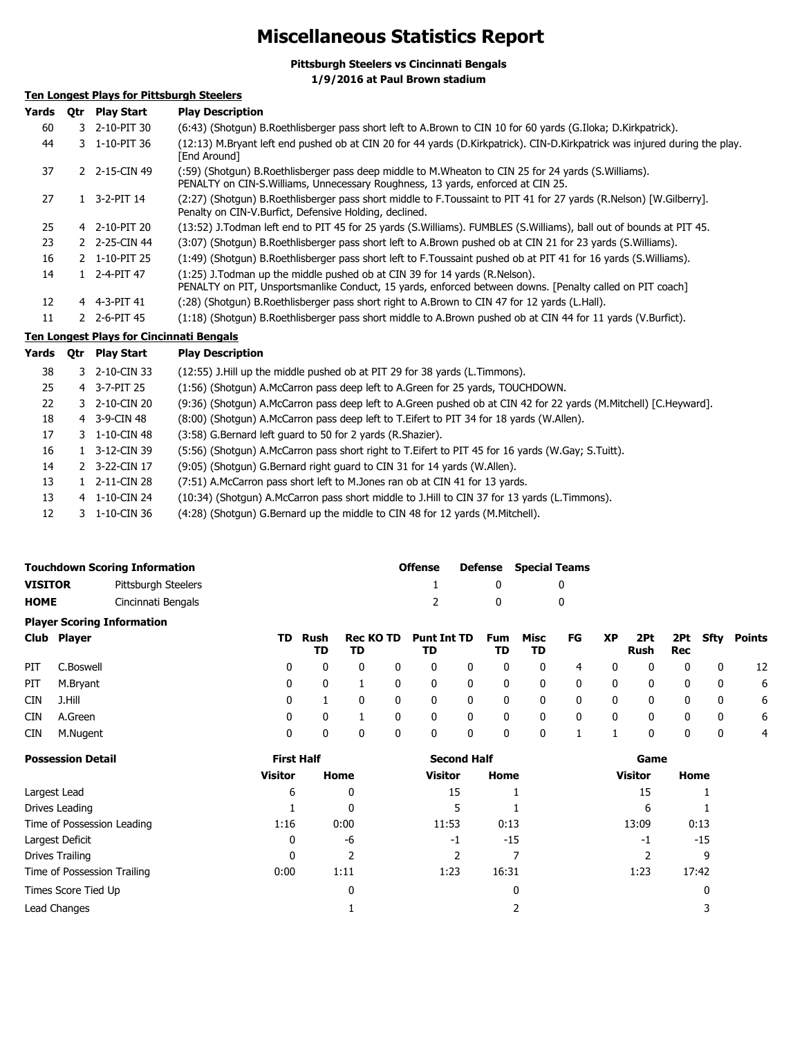## **Miscellaneous Statistics Report**

**Pittsburgh Steelers vs Cincinnati Bengals 1/9/2016 at Paul Brown stadium**

## **Ten Longest Plays for Pittsburgh Steelers**

| Yards | 0tr | <b>Play Start</b> | <b>Play Description</b>                                                                                                                                                                  |
|-------|-----|-------------------|------------------------------------------------------------------------------------------------------------------------------------------------------------------------------------------|
| 60    |     | 3 2-10-PIT 30     | (6:43) (Shotgun) B.Roethlisberger pass short left to A.Brown to CIN 10 for 60 yards (G.Iloka; D.Kirkpatrick).                                                                            |
| 44    |     | 3 1-10-PIT 36     | (12:13) M.Bryant left end pushed ob at CIN 20 for 44 yards (D.Kirkpatrick). CIN-D.Kirkpatrick was injured during the play.<br>[End Around]                                               |
| 37    |     | 2 2-15-CIN 49     | (:59) (Shotgun) B.Roethlisberger pass deep middle to M.Wheaton to CIN 25 for 24 yards (S.Williams).<br>PENALTY on CIN-S. Williams, Unnecessary Roughness, 13 yards, enforced at CIN 25.  |
| 27    |     | 1 3-2-PIT 14      | (2:27) (Shotgun) B.Roethlisberger pass short middle to F.Toussaint to PIT 41 for 27 yards (R.Nelson) [W.Gilberry].<br>Penalty on CIN-V Burfict, Defensive Holding, declined.             |
| 25    |     | 4 2-10-PIT 20     | (13:52) J.Todman left end to PIT 45 for 25 yards (S.Williams). FUMBLES (S.Williams), ball out of bounds at PIT 45.                                                                       |
| 23    |     | 2 2-25-CIN 44     | (3:07) (Shotgun) B.Roethlisberger pass short left to A.Brown pushed ob at CIN 21 for 23 yards (S.Williams).                                                                              |
| 16    |     | 2 1-10-PIT 25     | (1:49) (Shotqun) B.Roethlisberger pass short left to F.Toussaint pushed ob at PIT 41 for 16 yards (S.Williams).                                                                          |
| 14    |     | 1 2-4-PIT 47      | (1:25) J. Todman up the middle pushed ob at CIN 39 for 14 yards (R. Nelson).<br>PENALTY on PIT, Unsportsmanlike Conduct, 15 yards, enforced between downs. [Penalty called on PIT coach] |
| 12    |     | 4 4-3-PIT 41      | (28) (Shotgun) B.Roethlisberger pass short right to A.Brown to CIN 47 for 12 yards (L.Hall).                                                                                             |
| 11    |     | 2 2-6-PIT 45      | (1:18) (Shotgun) B.Roethlisberger pass short middle to A.Brown pushed ob at CIN 44 for 11 yards (V.Burfict).                                                                             |
|       |     |                   | Ten Longest Plays for Cincinnati Rengals                                                                                                                                                 |

## **Ten Longest Plays for Cincinnati Bengals**

| Yards | 0tr | <b>Play Start</b> | <b>Play Description</b>                                                                                          |
|-------|-----|-------------------|------------------------------------------------------------------------------------------------------------------|
| 38    |     | 3 2-10-CIN 33     | (12:55) J.Hill up the middle pushed ob at PIT 29 for 38 yards (L.Timmons).                                       |
| 25    |     | 4 3-7-PIT 25      | (1:56) (Shotqun) A.McCarron pass deep left to A.Green for 25 yards, TOUCHDOWN.                                   |
| 22    |     | 3 2-10-CIN 20     | (9:36) (Shotgun) A.McCarron pass deep left to A.Green pushed ob at CIN 42 for 22 yards (M.Mitchell) [C.Heyward]. |
| 18    |     | 4 3-9-CIN 48      | (8:00) (Shotgun) A.McCarron pass deep left to T.Eifert to PIT 34 for 18 yards (W.Allen).                         |
| 17    |     | 3 1-10-CIN 48     | (3:58) G.Bernard left quard to 50 for 2 yards (R.Shazier).                                                       |
| 16    |     | 3-12-CIN 39       | (5:56) (Shotgun) A.McCarron pass short right to T.Eifert to PIT 45 for 16 yards (W.Gay; S.Tuitt).                |
| 14    |     | 2 3-22-CIN 17     | (9:05) (Shotgun) G.Bernard right guard to CIN 31 for 14 yards (W.Allen).                                         |
| 13    |     | 2-11-CIN 28       | (7:51) A.McCarron pass short left to M.Jones ran ob at CIN 41 for 13 yards.                                      |
| 13    |     | 4 1-10-CIN 24     | (10:34) (Shotqun) A.McCarron pass short middle to J.Hill to CIN 37 for 13 yards (L.Timmons).                     |
| 12    | 3   | 1-10-CIN 36       | (4:28) (Shotgun) G.Bernard up the middle to CIN 48 for 12 yards (M.Mitchell).                                    |
|       |     |                   |                                                                                                                  |

| <b>Touchdown Scoring Information</b> |                     |  |               |                             | <b>Offense</b> | <b>Defense</b> Special Teams |            |    |    |             |            |
|--------------------------------------|---------------------|--|---------------|-----------------------------|----------------|------------------------------|------------|----|----|-------------|------------|
| <b>VISITOR</b>                       | Pittsburgh Steelers |  |               |                             |                |                              |            |    |    |             |            |
| <b>HOME</b>                          | Cincinnati Bengals  |  |               |                             | $\mathcal{P}$  | $\Omega$                     |            |    |    |             |            |
| <b>Player Scoring Information</b>    |                     |  |               |                             |                |                              |            |    |    |             |            |
| Club Player                          |                     |  | TD Rush<br>TD | Rec KO TD Punt Int TD<br>TD | TD             | Fum<br>TD.                   | Misc<br>TD | FG | XP | 2Pt<br>Rush | 2Pt<br>Rec |

| PIT | C.Boswell    | 0            | $\mathbf 0$  | $\overline{0}$          | $\mathbf{0}$   | $0\qquad 0$             |                         | $0 \qquad 4$            |                         | $\overline{\mathbf{0}}$ | $\overline{\mathbf{0}}$     |                         | $0\qquad 0\qquad 12$    |                |
|-----|--------------|--------------|--------------|-------------------------|----------------|-------------------------|-------------------------|-------------------------|-------------------------|-------------------------|-----------------------------|-------------------------|-------------------------|----------------|
|     | PIT M.Bryant | $\mathbf{0}$ | 1            | $\overline{\mathbf{0}}$ | $\overline{0}$ | $\overline{\mathbf{0}}$ | $\overline{\mathbf{0}}$ | $\overline{\mathbf{0}}$ | $\overline{0}$          |                         | $0\qquad 0\qquad 0\qquad 0$ |                         |                         | 6              |
| CIN | J.Hill       |              | $\Omega$     | $\mathbf{0}$            | $\mathbf{0}$   | $\overline{\mathbf{0}}$ | $\overline{\mathbf{0}}$ | $\overline{\mathbf{0}}$ | $\overline{\mathbf{0}}$ | $\overline{0}$          | $\overline{0}$              | $\overline{\mathbf{0}}$ | $\overline{\mathbf{0}}$ | 6              |
| CIN | A.Green      | 0            | 1            | $\overline{0}$          | $\mathbf 0$    | $\overline{\mathbf{0}}$ | $\overline{\mathbf{0}}$ | $\overline{\mathbf{0}}$ | $\overline{0}$          | $\overline{0}$          | $\overline{0}$              | $\overline{0}$          | $\overline{\mathbf{0}}$ | - 6            |
| CIN | M.Nugent     | - 0          | $\mathbf{0}$ | $\mathbf{0}$            | $\overline{0}$ | $\overline{0}$          | $\overline{\mathbf{0}}$ | $\sim$ 0 1              |                         | $\mathbf{1}$            |                             | $0\qquad 0$             | $\overline{\mathbf{0}}$ | $\overline{4}$ |

**Sfty Points**

| <b>Possession Detail</b>    | <b>First Half</b> |      | <b>Second Half</b> |       | Game           |       |  |  |
|-----------------------------|-------------------|------|--------------------|-------|----------------|-------|--|--|
|                             | <b>Visitor</b>    | Home | <b>Visitor</b>     | Home  | <b>Visitor</b> | Home  |  |  |
| Largest Lead                | 6                 | 0    | 15                 |       | 15             |       |  |  |
| Drives Leading              |                   | 0    |                    |       | 6              |       |  |  |
| Time of Possession Leading  | 1:16              | 0:00 | 11:53              | 0:13  | 13:09          | 0:13  |  |  |
| Largest Deficit             | 0                 | -6   | -1                 | $-15$ | -1             | $-15$ |  |  |
| Drives Trailing             | 0                 |      |                    |       |                | 9     |  |  |
| Time of Possession Trailing | 0:00              | 1:11 | 1:23               | 16:31 | 1:23           | 17:42 |  |  |
| Times Score Tied Up         |                   | 0    |                    | 0     |                | 0     |  |  |
| Lead Changes                |                   |      |                    |       |                |       |  |  |